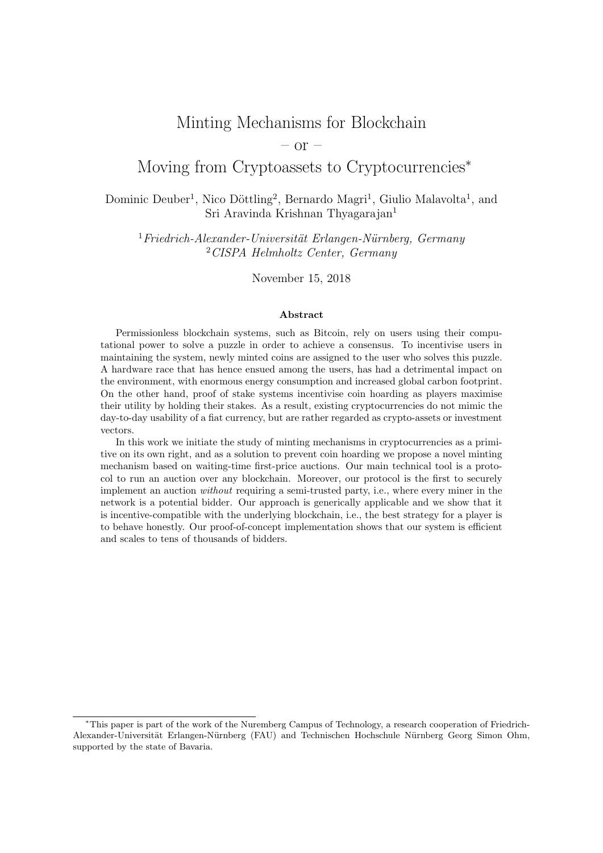# Minting Mechanisms for Blockchain

 $-$  or  $-$ 

# Moving from Cryptoassets to Cryptocurrencies<sup>\*</sup>

Dominic Deuber<sup>1</sup>, Nico Döttling<sup>2</sup>, Bernardo Magri<sup>1</sup>, Giulio Malavolta<sup>1</sup>, and Sri Aravinda Krishnan Thyagarajan<sup>1</sup>

 $1$ Friedrich-Alexander-Universität Erlangen-Nürnberg, Germany <sup>2</sup>CISPA Helmholtz Center, Germany

November 15, 2018

#### Abstract

Permissionless blockchain systems, such as Bitcoin, rely on users using their computational power to solve a puzzle in order to achieve a consensus. To incentivise users in maintaining the system, newly minted coins are assigned to the user who solves this puzzle. A hardware race that has hence ensued among the users, has had a detrimental impact on the environment, with enormous energy consumption and increased global carbon footprint. On the other hand, proof of stake systems incentivise coin hoarding as players maximise their utility by holding their stakes. As a result, existing cryptocurrencies do not mimic the day-to-day usability of a fiat currency, but are rather regarded as crypto-assets or investment vectors.

In this work we initiate the study of minting mechanisms in cryptocurrencies as a primitive on its own right, and as a solution to prevent coin hoarding we propose a novel minting mechanism based on waiting-time first-price auctions. Our main technical tool is a protocol to run an auction over any blockchain. Moreover, our protocol is the first to securely implement an auction without requiring a semi-trusted party, i.e., where every miner in the network is a potential bidder. Our approach is generically applicable and we show that it is incentive-compatible with the underlying blockchain, i.e., the best strategy for a player is to behave honestly. Our proof-of-concept implementation shows that our system is efficient and scales to tens of thousands of bidders.

<sup>∗</sup>This paper is part of the work of the Nuremberg Campus of Technology, a research cooperation of Friedrich-Alexander-Universität Erlangen-Nürnberg (FAU) and Technischen Hochschule Nürnberg Georg Simon Ohm, supported by the state of Bavaria.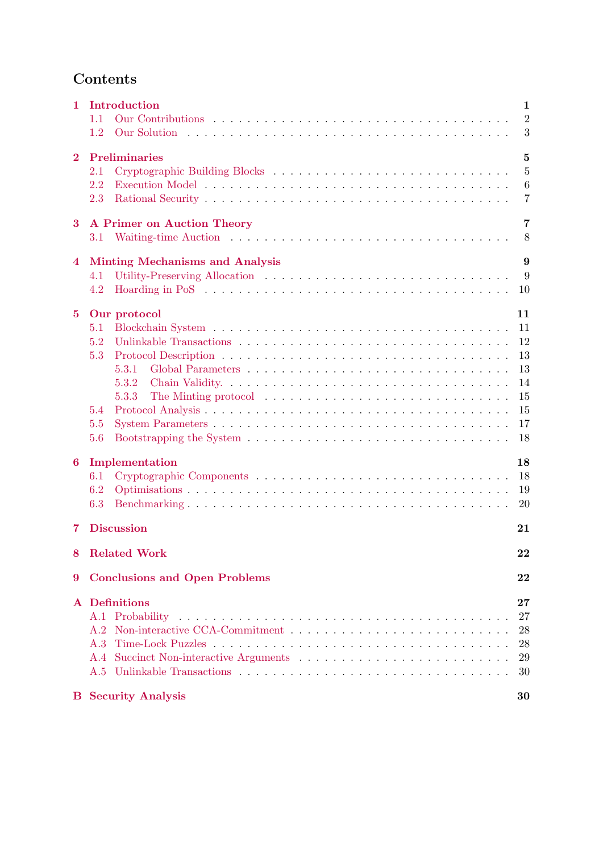# Contents

| 1           | Introduction<br>1.1<br>1.2                                                                                                                                                    | 1<br>$\overline{2}$<br>3                                 |  |  |  |  |
|-------------|-------------------------------------------------------------------------------------------------------------------------------------------------------------------------------|----------------------------------------------------------|--|--|--|--|
| $\bf{2}$    | Preliminaries<br>2.1<br>2.2<br>2.3                                                                                                                                            | $\overline{5}$<br>$\overline{5}$<br>6<br>7               |  |  |  |  |
| $\bf{3}$    | A Primer on Auction Theory<br>3.1                                                                                                                                             | 7<br>8                                                   |  |  |  |  |
| 4           | <b>Minting Mechanisms and Analysis</b><br>4.1<br>4.2                                                                                                                          | 9<br>9<br>10                                             |  |  |  |  |
| $5^{\circ}$ | Our protocol<br>5.1<br>5.2<br>5.3<br>5.3.1<br>5.3.2<br>The Minting protocol $\dots \dots \dots \dots \dots \dots \dots \dots \dots \dots \dots$<br>5.3.3<br>5.4<br>5.5<br>5.6 | 11<br>11<br>12<br>13<br>13<br>14<br>15<br>15<br>17<br>18 |  |  |  |  |
| 6           | Implementation<br>6.1<br>6.2<br>6.3                                                                                                                                           | 18<br>18<br>19<br>20                                     |  |  |  |  |
| 7.          | <b>Discussion</b><br>21                                                                                                                                                       |                                                          |  |  |  |  |
| 8           | <b>Related Work</b><br>22                                                                                                                                                     |                                                          |  |  |  |  |
| 9           | <b>Conclusions and Open Problems</b>                                                                                                                                          | 22                                                       |  |  |  |  |
|             | A Definitions<br>A.2<br>A.3<br>A.4<br>A.5<br><b>B</b> Security Analysis                                                                                                       | 27<br>27<br>28<br>28<br>29<br>30<br>30                   |  |  |  |  |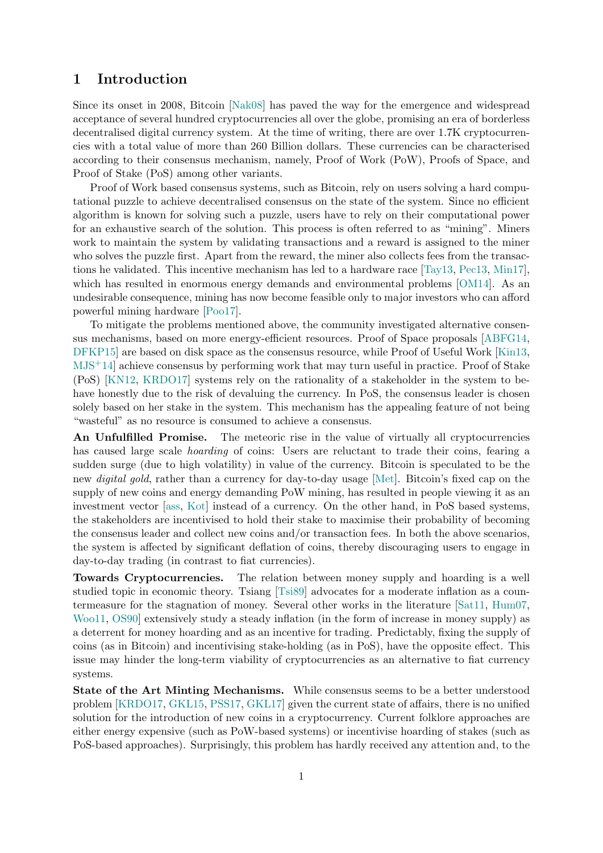# <span id="page-2-0"></span>1 Introduction

Since its onset in 2008, Bitcoin [\[Nak08\]](#page-27-0) has paved the way for the emergence and widespread acceptance of several hundred cryptocurrencies all over the globe, promising an era of borderless decentralised digital currency system. At the time of writing, there are over 1.7K cryptocurrencies with a total value of more than 260 Billion dollars. These currencies can be characterised according to their consensus mechanism, namely, Proof of Work (PoW), Proofs of Space, and Proof of Stake (PoS) among other variants.

Proof of Work based consensus systems, such as Bitcoin, rely on users solving a hard computational puzzle to achieve decentralised consensus on the state of the system. Since no efficient algorithm is known for solving such a puzzle, users have to rely on their computational power for an exhaustive search of the solution. This process is often referred to as "mining". Miners work to maintain the system by validating transactions and a reward is assigned to the miner who solves the puzzle first. Apart from the reward, the miner also collects fees from the transactions he validated. This incentive mechanism has led to a hardware race [\[Tay13,](#page-28-2) [Pec13,](#page-27-1) [Min17\]](#page-27-2), which has resulted in enormous energy demands and environmental problems [\[OM14\]](#page-27-3). As an undesirable consequence, mining has now become feasible only to major investors who can afford powerful mining hardware [\[Poo17\]](#page-27-4).

To mitigate the problems mentioned above, the community investigated alternative consensus mechanisms, based on more energy-efficient resources. Proof of Space proposals [\[ABFG14,](#page-24-0) [DFKP15\]](#page-25-0) are based on disk space as the consensus resource, while Proof of Useful Work [\[Kin13,](#page-26-0) [MJS](#page-27-5)+14] achieve consensus by performing work that may turn useful in practice. Proof of Stake (PoS) [\[KN12,](#page-26-1) [KRDO17\]](#page-26-2) systems rely on the rationality of a stakeholder in the system to behave honestly due to the risk of devaluing the currency. In PoS, the consensus leader is chosen solely based on her stake in the system. This mechanism has the appealing feature of not being "wasteful" as no resource is consumed to achieve a consensus.

An Unfulfilled Promise. The meteoric rise in the value of virtually all cryptocurrencies has caused large scale *hoarding* of coins: Users are reluctant to trade their coins, fearing a sudden surge (due to high volatility) in value of the currency. Bitcoin is speculated to be the new digital gold, rather than a currency for day-to-day usage [\[Met\]](#page-27-6). Bitcoin's fixed cap on the supply of new coins and energy demanding PoW mining, has resulted in people viewing it as an investment vector [\[ass,](#page-24-1) [Kot\]](#page-26-3) instead of a currency. On the other hand, in PoS based systems, the stakeholders are incentivised to hold their stake to maximise their probability of becoming the consensus leader and collect new coins and/or transaction fees. In both the above scenarios, the system is affected by significant deflation of coins, thereby discouraging users to engage in day-to-day trading (in contrast to fiat currencies).

Towards Cryptocurrencies. The relation between money supply and hoarding is a well studied topic in economic theory. Tsiang [\[Tsi89\]](#page-28-3) advocates for a moderate inflation as a countermeasure for the stagnation of money. Several other works in the literature [\[Sat11,](#page-28-4) [Hum07,](#page-26-4) [Woo11,](#page-28-5) [OS90\]](#page-27-7) extensively study a steady inflation (in the form of increase in money supply) as a deterrent for money hoarding and as an incentive for trading. Predictably, fixing the supply of coins (as in Bitcoin) and incentivising stake-holding (as in PoS), have the opposite effect. This issue may hinder the long-term viability of cryptocurrencies as an alternative to fiat currency systems.

State of the Art Minting Mechanisms. While consensus seems to be a better understood problem [\[KRDO17,](#page-26-2) [GKL15,](#page-25-1) [PSS17,](#page-28-6) [GKL17\]](#page-26-5) given the current state of affairs, there is no unified solution for the introduction of new coins in a cryptocurrency. Current folklore approaches are either energy expensive (such as PoW-based systems) or incentivise hoarding of stakes (such as PoS-based approaches). Surprisingly, this problem has hardly received any attention and, to the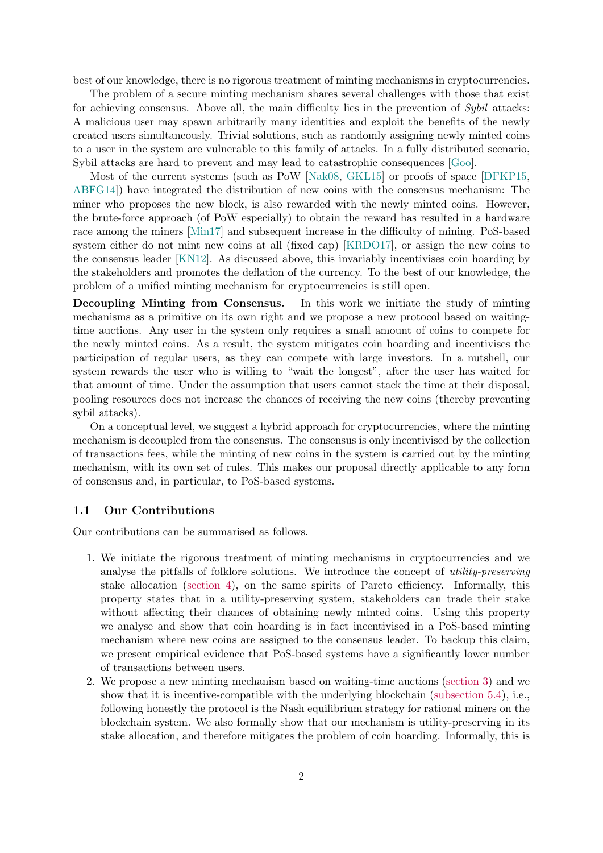best of our knowledge, there is no rigorous treatment of minting mechanisms in cryptocurrencies.

The problem of a secure minting mechanism shares several challenges with those that exist for achieving consensus. Above all, the main difficulty lies in the prevention of Sybil attacks: A malicious user may spawn arbitrarily many identities and exploit the benefits of the newly created users simultaneously. Trivial solutions, such as randomly assigning newly minted coins to a user in the system are vulnerable to this family of attacks. In a fully distributed scenario, Sybil attacks are hard to prevent and may lead to catastrophic consequences [\[Goo\]](#page-26-6).

Most of the current systems (such as PoW [\[Nak08,](#page-27-0) [GKL15\]](#page-25-1) or proofs of space [\[DFKP15,](#page-25-0) [ABFG14\]](#page-24-0)) have integrated the distribution of new coins with the consensus mechanism: The miner who proposes the new block, is also rewarded with the newly minted coins. However, the brute-force approach (of PoW especially) to obtain the reward has resulted in a hardware race among the miners [\[Min17\]](#page-27-2) and subsequent increase in the difficulty of mining. PoS-based system either do not mint new coins at all (fixed cap) [\[KRDO17\]](#page-26-2), or assign the new coins to the consensus leader [\[KN12\]](#page-26-1). As discussed above, this invariably incentivises coin hoarding by the stakeholders and promotes the deflation of the currency. To the best of our knowledge, the problem of a unified minting mechanism for cryptocurrencies is still open.

Decoupling Minting from Consensus. In this work we initiate the study of minting mechanisms as a primitive on its own right and we propose a new protocol based on waitingtime auctions. Any user in the system only requires a small amount of coins to compete for the newly minted coins. As a result, the system mitigates coin hoarding and incentivises the participation of regular users, as they can compete with large investors. In a nutshell, our system rewards the user who is willing to "wait the longest", after the user has waited for that amount of time. Under the assumption that users cannot stack the time at their disposal, pooling resources does not increase the chances of receiving the new coins (thereby preventing sybil attacks).

On a conceptual level, we suggest a hybrid approach for cryptocurrencies, where the minting mechanism is decoupled from the consensus. The consensus is only incentivised by the collection of transactions fees, while the minting of new coins in the system is carried out by the minting mechanism, with its own set of rules. This makes our proposal directly applicable to any form of consensus and, in particular, to PoS-based systems.

#### <span id="page-3-0"></span>1.1 Our Contributions

Our contributions can be summarised as follows.

- 1. We initiate the rigorous treatment of minting mechanisms in cryptocurrencies and we analyse the pitfalls of folklore solutions. We introduce the concept of utility-preserving stake allocation [\(section 4\)](#page-10-0), on the same spirits of Pareto efficiency. Informally, this property states that in a utility-preserving system, stakeholders can trade their stake without affecting their chances of obtaining newly minted coins. Using this property we analyse and show that coin hoarding is in fact incentivised in a PoS-based minting mechanism where new coins are assigned to the consensus leader. To backup this claim, we present empirical evidence that PoS-based systems have a significantly lower number of transactions between users.
- 2. We propose a new minting mechanism based on waiting-time auctions [\(section 3\)](#page-8-1) and we show that it is incentive-compatible with the underlying blockchain [\(subsection 5.4\)](#page-16-1), i.e., following honestly the protocol is the Nash equilibrium strategy for rational miners on the blockchain system. We also formally show that our mechanism is utility-preserving in its stake allocation, and therefore mitigates the problem of coin hoarding. Informally, this is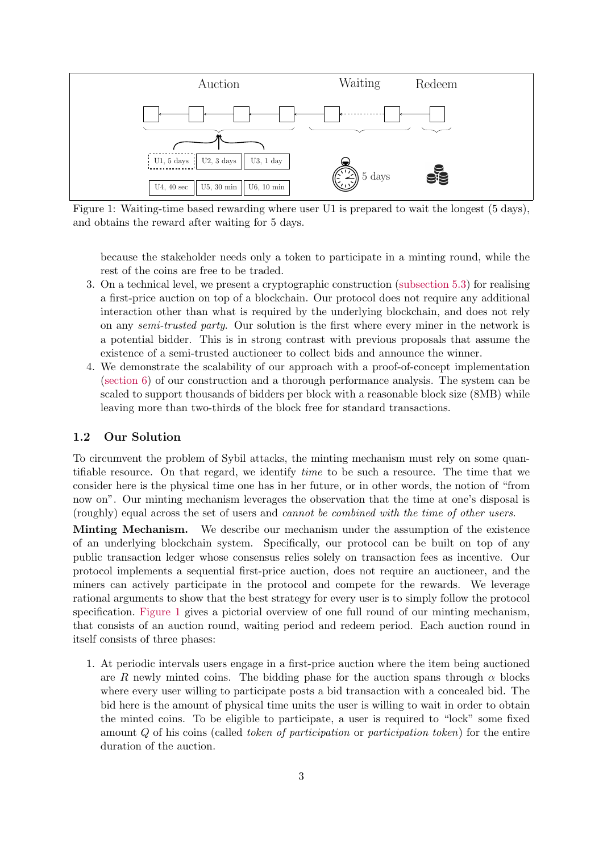<span id="page-4-1"></span>

Figure 1: Waiting-time based rewarding where user U1 is prepared to wait the longest (5 days), and obtains the reward after waiting for 5 days.

because the stakeholder needs only a token to participate in a minting round, while the rest of the coins are free to be traded.

- 3. On a technical level, we present a cryptographic construction [\(subsection 5.3\)](#page-14-0) for realising a first-price auction on top of a blockchain. Our protocol does not require any additional interaction other than what is required by the underlying blockchain, and does not rely on any semi-trusted party. Our solution is the first where every miner in the network is a potential bidder. This is in strong contrast with previous proposals that assume the existence of a semi-trusted auctioneer to collect bids and announce the winner.
- 4. We demonstrate the scalability of our approach with a proof-of-concept implementation [\(section 6\)](#page-19-1) of our construction and a thorough performance analysis. The system can be scaled to support thousands of bidders per block with a reasonable block size (8MB) while leaving more than two-thirds of the block free for standard transactions.

## <span id="page-4-0"></span>1.2 Our Solution

To circumvent the problem of Sybil attacks, the minting mechanism must rely on some quantifiable resource. On that regard, we identify time to be such a resource. The time that we consider here is the physical time one has in her future, or in other words, the notion of "from now on". Our minting mechanism leverages the observation that the time at one's disposal is (roughly) equal across the set of users and cannot be combined with the time of other users.

Minting Mechanism. We describe our mechanism under the assumption of the existence of an underlying blockchain system. Specifically, our protocol can be built on top of any public transaction ledger whose consensus relies solely on transaction fees as incentive. Our protocol implements a sequential first-price auction, does not require an auctioneer, and the miners can actively participate in the protocol and compete for the rewards. We leverage rational arguments to show that the best strategy for every user is to simply follow the protocol specification. [Figure 1](#page-4-1) gives a pictorial overview of one full round of our minting mechanism, that consists of an auction round, waiting period and redeem period. Each auction round in itself consists of three phases:

1. At periodic intervals users engage in a first-price auction where the item being auctioned are R newly minted coins. The bidding phase for the auction spans through  $\alpha$  blocks where every user willing to participate posts a bid transaction with a concealed bid. The bid here is the amount of physical time units the user is willing to wait in order to obtain the minted coins. To be eligible to participate, a user is required to "lock" some fixed amount Q of his coins (called token of participation or participation token) for the entire duration of the auction.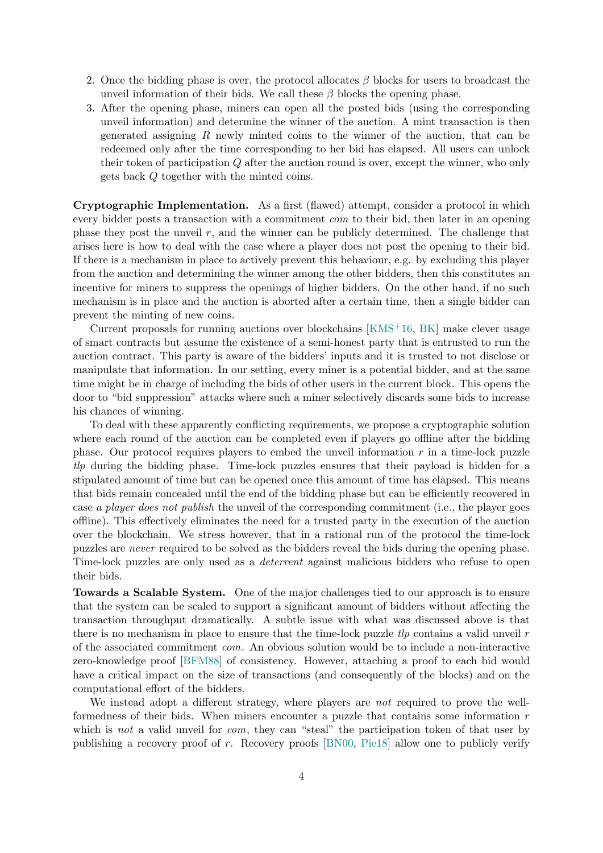- 2. Once the bidding phase is over, the protocol allocates  $\beta$  blocks for users to broadcast the unveil information of their bids. We call these  $\beta$  blocks the opening phase.
- 3. After the opening phase, miners can open all the posted bids (using the corresponding unveil information) and determine the winner of the auction. A mint transaction is then generated assigning  $R$  newly minted coins to the winner of the auction, that can be redeemed only after the time corresponding to her bid has elapsed. All users can unlock their token of participation Q after the auction round is over, except the winner, who only gets back Q together with the minted coins.

Cryptographic Implementation. As a first (flawed) attempt, consider a protocol in which every bidder posts a transaction with a commitment com to their bid, then later in an opening phase they post the unveil  $r$ , and the winner can be publicly determined. The challenge that arises here is how to deal with the case where a player does not post the opening to their bid. If there is a mechanism in place to actively prevent this behaviour, e.g. by excluding this player from the auction and determining the winner among the other bidders, then this constitutes an incentive for miners to suppress the openings of higher bidders. On the other hand, if no such mechanism is in place and the auction is aborted after a certain time, then a single bidder can prevent the minting of new coins.

Current proposals for running auctions over blockchains  $[KMS<sup>+</sup>16, BK]$  $[KMS<sup>+</sup>16, BK]$  make clever usage of smart contracts but assume the existence of a semi-honest party that is entrusted to run the auction contract. This party is aware of the bidders' inputs and it is trusted to not disclose or manipulate that information. In our setting, every miner is a potential bidder, and at the same time might be in charge of including the bids of other users in the current block. This opens the door to "bid suppression" attacks where such a miner selectively discards some bids to increase his chances of winning.

To deal with these apparently conflicting requirements, we propose a cryptographic solution where each round of the auction can be completed even if players go offline after the bidding phase. Our protocol requires players to embed the unveil information  $r$  in a time-lock puzzle tlp during the bidding phase. Time-lock puzzles ensures that their payload is hidden for a stipulated amount of time but can be opened once this amount of time has elapsed. This means that bids remain concealed until the end of the bidding phase but can be efficiently recovered in case a player does not publish the unveil of the corresponding commitment (i.e., the player goes offline). This effectively eliminates the need for a trusted party in the execution of the auction over the blockchain. We stress however, that in a rational run of the protocol the time-lock puzzles are never required to be solved as the bidders reveal the bids during the opening phase. Time-lock puzzles are only used as a deterrent against malicious bidders who refuse to open their bids.

Towards a Scalable System. One of the major challenges tied to our approach is to ensure that the system can be scaled to support a significant amount of bidders without affecting the transaction throughput dramatically. A subtle issue with what was discussed above is that there is no mechanism in place to ensure that the time-lock puzzle  $\elllp$  contains a valid unveil r of the associated commitment com. An obvious solution would be to include a non-interactive zero-knowledge proof [\[BFM88\]](#page-24-3) of consistency. However, attaching a proof to each bid would have a critical impact on the size of transactions (and consequently of the blocks) and on the computational effort of the bidders.

We instead adopt a different strategy, where players are *not* required to prove the wellformedness of their bids. When miners encounter a puzzle that contains some information r which is not a valid unveil for *com*, they can "steal" the participation token of that user by publishing a recovery proof of r. Recovery proofs [\[BN00,](#page-24-4) [Pie18\]](#page-27-8) allow one to publicly verify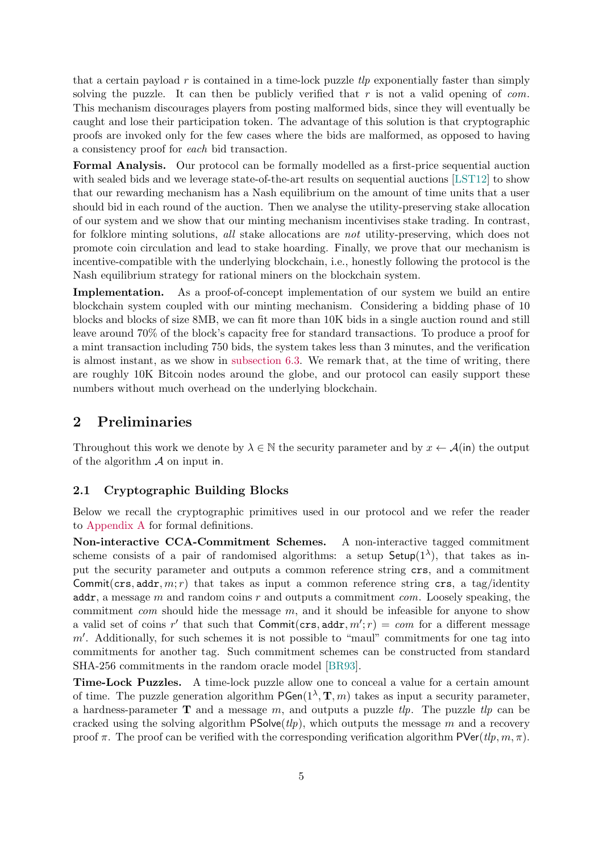that a certain payload  $r$  is contained in a time-lock puzzle  $\ell l p$  exponentially faster than simply solving the puzzle. It can then be publicly verified that  $r$  is not a valid opening of  $com$ . This mechanism discourages players from posting malformed bids, since they will eventually be caught and lose their participation token. The advantage of this solution is that cryptographic proofs are invoked only for the few cases where the bids are malformed, as opposed to having a consistency proof for each bid transaction.

Formal Analysis. Our protocol can be formally modelled as a first-price sequential auction with sealed bids and we leverage state-of-the-art results on sequential auctions [\[LST12\]](#page-26-8) to show that our rewarding mechanism has a Nash equilibrium on the amount of time units that a user should bid in each round of the auction. Then we analyse the utility-preserving stake allocation of our system and we show that our minting mechanism incentivises stake trading. In contrast, for folklore minting solutions, all stake allocations are not utility-preserving, which does not promote coin circulation and lead to stake hoarding. Finally, we prove that our mechanism is incentive-compatible with the underlying blockchain, i.e., honestly following the protocol is the Nash equilibrium strategy for rational miners on the blockchain system.

Implementation. As a proof-of-concept implementation of our system we build an entire blockchain system coupled with our minting mechanism. Considering a bidding phase of 10 blocks and blocks of size 8MB, we can fit more than 10K bids in a single auction round and still leave around 70% of the block's capacity free for standard transactions. To produce a proof for a mint transaction including 750 bids, the system takes less than 3 minutes, and the verification is almost instant, as we show in [subsection 6.3.](#page-21-0) We remark that, at the time of writing, there are roughly 10K Bitcoin nodes around the globe, and our protocol can easily support these numbers without much overhead on the underlying blockchain.

# <span id="page-6-0"></span>2 Preliminaries

Throughout this work we denote by  $\lambda \in \mathbb{N}$  the security parameter and by  $x \leftarrow \mathcal{A}(\text{in})$  the output of the algorithm  $A$  on input in.

## <span id="page-6-1"></span>2.1 Cryptographic Building Blocks

Below we recall the cryptographic primitives used in our protocol and we refer the reader to [Appendix A](#page-28-0) for formal definitions.

Non-interactive CCA-Commitment Schemes. A non-interactive tagged commitment scheme consists of a pair of randomised algorithms: a setup  $\mathsf{Setup}(1^{\lambda})$ , that takes as input the security parameter and outputs a common reference string crs, and a commitment Commit(crs, addr, m; r) that takes as input a common reference string crs, a tag/identity addr, a message m and random coins  $r$  and outputs a commitment *com*. Loosely speaking, the commitment *com* should hide the message  $m$ , and it should be infeasible for anyone to show a valid set of coins r' that such that Commit(crs, addr,  $m'; r$ ) = com for a different message  $m'$ . Additionally, for such schemes it is not possible to "maul" commitments for one tag into commitments for another tag. Such commitment schemes can be constructed from standard SHA-256 commitments in the random oracle model [\[BR93\]](#page-25-2).

Time-Lock Puzzles. A time-lock puzzle allow one to conceal a value for a certain amount of time. The puzzle generation algorithm  $PGen(1^{\lambda}, \mathbf{T}, m)$  takes as input a security parameter, a hardness-parameter **T** and a message m, and outputs a puzzle tlp. The puzzle tlp can be cracked using the solving algorithm  $PSolve(tlp)$ , which outputs the message m and a recovery proof  $\pi$ . The proof can be verified with the corresponding verification algorithm  $\text{PVer}(tlp, m, \pi)$ .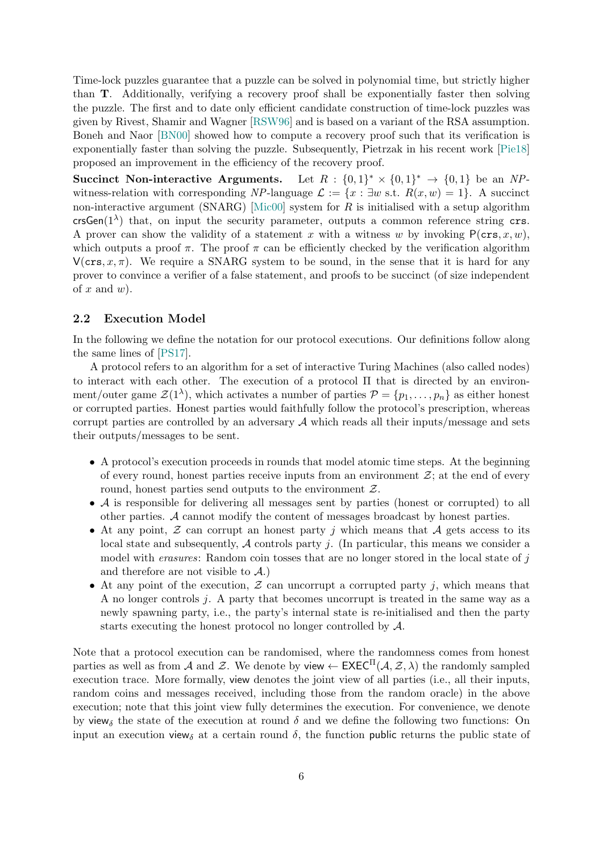Time-lock puzzles guarantee that a puzzle can be solved in polynomial time, but strictly higher than T. Additionally, verifying a recovery proof shall be exponentially faster then solving the puzzle. The first and to date only efficient candidate construction of time-lock puzzles was given by Rivest, Shamir and Wagner [\[RSW96\]](#page-28-7) and is based on a variant of the RSA assumption. Boneh and Naor [\[BN00\]](#page-24-4) showed how to compute a recovery proof such that its verification is exponentially faster than solving the puzzle. Subsequently, Pietrzak in his recent work [\[Pie18\]](#page-27-8) proposed an improvement in the efficiency of the recovery proof.

Succinct Non-interactive Arguments. \* ×  $\{0,1\}^*$  →  $\{0,1\}$  be an NPwitness-relation with corresponding NP-language  $\mathcal{L} := \{x : \exists w \text{ s.t. } R(x, w) = 1\}.$  A succinct non-interactive argument (SNARG) [\[Mic00\]](#page-27-9) system for R is initialised with a setup algorithm crsGen( $1^{\lambda}$ ) that, on input the security parameter, outputs a common reference string crs. A prover can show the validity of a statement x with a witness w by invoking  $P(crs, x, w)$ , which outputs a proof  $\pi$ . The proof  $\pi$  can be efficiently checked by the verification algorithm  $V(crs, x, \pi)$ . We require a SNARG system to be sound, in the sense that it is hard for any prover to convince a verifier of a false statement, and proofs to be succinct (of size independent of  $x$  and  $w$ ).

## <span id="page-7-0"></span>2.2 Execution Model

In the following we define the notation for our protocol executions. Our definitions follow along the same lines of [\[PS17\]](#page-27-10).

A protocol refers to an algorithm for a set of interactive Turing Machines (also called nodes) to interact with each other. The execution of a protocol Π that is directed by an environment/outer game  $\mathcal{Z}(1^{\lambda})$ , which activates a number of parties  $\mathcal{P} = \{p_1, \ldots, p_n\}$  as either honest or corrupted parties. Honest parties would faithfully follow the protocol's prescription, whereas corrupt parties are controlled by an adversary  $A$  which reads all their inputs/message and sets their outputs/messages to be sent.

- A protocol's execution proceeds in rounds that model atomic time steps. At the beginning of every round, honest parties receive inputs from an environment  $\mathcal{Z}$ ; at the end of every round, honest parties send outputs to the environment  $\mathcal{Z}$ .
- A is responsible for delivering all messages sent by parties (honest or corrupted) to all other parties. A cannot modify the content of messages broadcast by honest parties.
- At any point,  $\mathcal Z$  can corrupt an honest party j which means that  $\mathcal A$  gets access to its local state and subsequently,  $A$  controls party j. (In particular, this means we consider a model with *erasures*: Random coin tosses that are no longer stored in the local state of j and therefore are not visible to  $\mathcal{A}$ .)
- At any point of the execution,  $\mathcal Z$  can uncorrupt a corrupted party j, which means that A no longer controls j. A party that becomes uncorrupt is treated in the same way as a newly spawning party, i.e., the party's internal state is re-initialised and then the party starts executing the honest protocol no longer controlled by A.

Note that a protocol execution can be randomised, where the randomness comes from honest parties as well as from A and Z. We denote by view  $\leftarrow$  EXEC<sup>II</sup>(A, Z,  $\lambda$ ) the randomly sampled execution trace. More formally, view denotes the joint view of all parties (i.e., all their inputs, random coins and messages received, including those from the random oracle) in the above execution; note that this joint view fully determines the execution. For convenience, we denote by view<sub>δ</sub> the state of the execution at round  $\delta$  and we define the following two functions: On input an execution view<sub> $\delta$ </sub> at a certain round  $\delta$ , the function public returns the public state of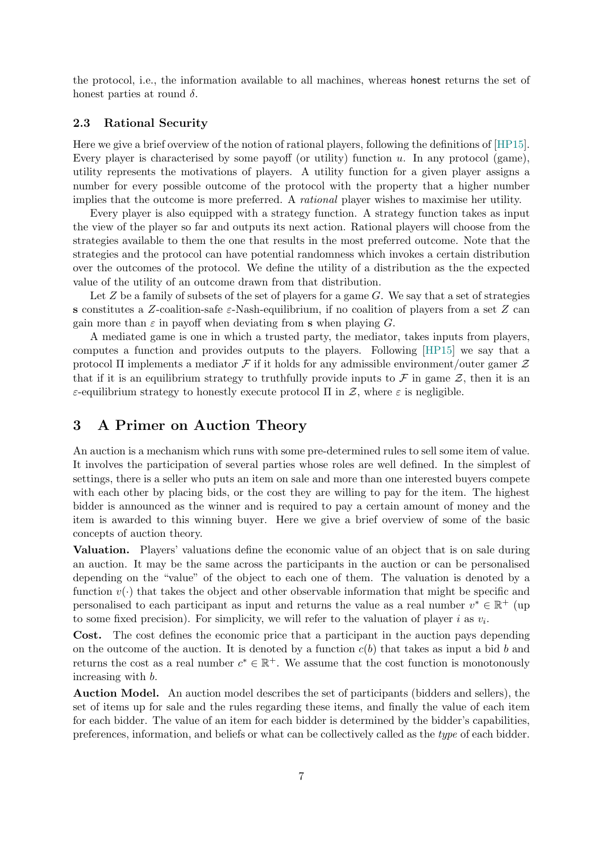the protocol, i.e., the information available to all machines, whereas honest returns the set of honest parties at round  $\delta$ .

### <span id="page-8-0"></span>2.3 Rational Security

Here we give a brief overview of the notion of rational players, following the definitions of [\[HP15\]](#page-26-9). Every player is characterised by some payoff (or utility) function  $u$ . In any protocol (game), utility represents the motivations of players. A utility function for a given player assigns a number for every possible outcome of the protocol with the property that a higher number implies that the outcome is more preferred. A rational player wishes to maximise her utility.

Every player is also equipped with a strategy function. A strategy function takes as input the view of the player so far and outputs its next action. Rational players will choose from the strategies available to them the one that results in the most preferred outcome. Note that the strategies and the protocol can have potential randomness which invokes a certain distribution over the outcomes of the protocol. We define the utility of a distribution as the the expected value of the utility of an outcome drawn from that distribution.

Let  $Z$  be a family of subsets of the set of players for a game  $G$ . We say that a set of strategies s constitutes a Z-coalition-safe  $\varepsilon$ -Nash-equilibrium, if no coalition of players from a set Z can gain more than  $\varepsilon$  in payoff when deviating from s when playing  $G$ .

A mediated game is one in which a trusted party, the mediator, takes inputs from players, computes a function and provides outputs to the players. Following [\[HP15\]](#page-26-9) we say that a protocol Π implements a mediator F if it holds for any admissible environment/outer gamer  $\mathcal Z$ that if it is an equilibrium strategy to truthfully provide inputs to F in game  $\mathcal{Z}$ , then it is an ε-equilibrium strategy to honestly execute protocol Π in Z, where ε is negligible.

# <span id="page-8-1"></span>3 A Primer on Auction Theory

An auction is a mechanism which runs with some pre-determined rules to sell some item of value. It involves the participation of several parties whose roles are well defined. In the simplest of settings, there is a seller who puts an item on sale and more than one interested buyers compete with each other by placing bids, or the cost they are willing to pay for the item. The highest bidder is announced as the winner and is required to pay a certain amount of money and the item is awarded to this winning buyer. Here we give a brief overview of some of the basic concepts of auction theory.

Valuation. Players' valuations define the economic value of an object that is on sale during an auction. It may be the same across the participants in the auction or can be personalised depending on the "value" of the object to each one of them. The valuation is denoted by a function  $v(\cdot)$  that takes the object and other observable information that might be specific and personalised to each participant as input and returns the value as a real number  $v^* \in \mathbb{R}^+$  (up to some fixed precision). For simplicity, we will refer to the valuation of player i as  $v_i$ .

Cost. The cost defines the economic price that a participant in the auction pays depending on the outcome of the auction. It is denoted by a function  $c(b)$  that takes as input a bid b and returns the cost as a real number  $c^* \in \mathbb{R}^+$ . We assume that the cost function is monotonously increasing with b.

Auction Model. An auction model describes the set of participants (bidders and sellers), the set of items up for sale and the rules regarding these items, and finally the value of each item for each bidder. The value of an item for each bidder is determined by the bidder's capabilities, preferences, information, and beliefs or what can be collectively called as the type of each bidder.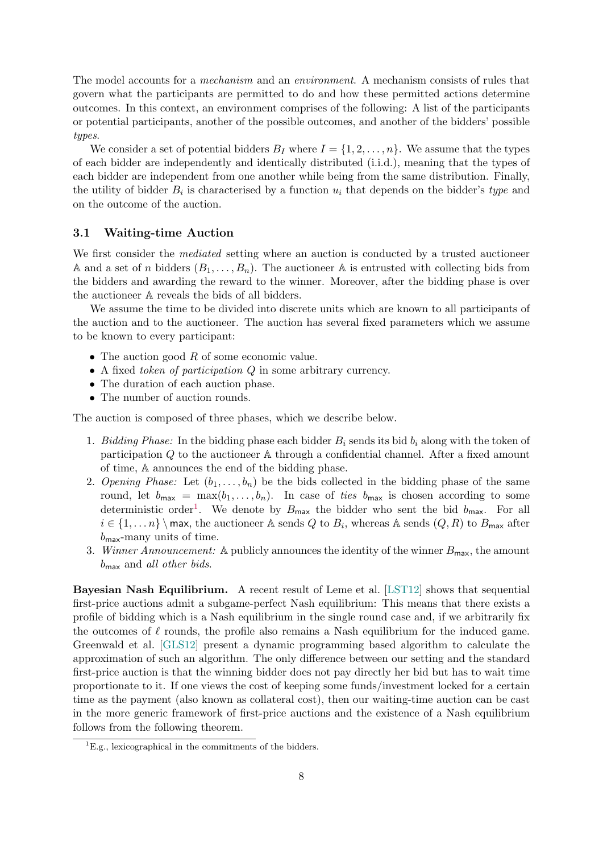The model accounts for a mechanism and an environment. A mechanism consists of rules that govern what the participants are permitted to do and how these permitted actions determine outcomes. In this context, an environment comprises of the following: A list of the participants or potential participants, another of the possible outcomes, and another of the bidders' possible types.

We consider a set of potential bidders  $B_I$  where  $I = \{1, 2, \ldots, n\}$ . We assume that the types of each bidder are independently and identically distributed (i.i.d.), meaning that the types of each bidder are independent from one another while being from the same distribution. Finally, the utility of bidder  $B_i$  is characterised by a function  $u_i$  that depends on the bidder's type and on the outcome of the auction.

## <span id="page-9-0"></span>3.1 Waiting-time Auction

We first consider the *mediated* setting where an auction is conducted by a trusted auctioneer A and a set of n bidders  $(B_1, \ldots, B_n)$ . The auctioneer A is entrusted with collecting bids from the bidders and awarding the reward to the winner. Moreover, after the bidding phase is over the auctioneer A reveals the bids of all bidders.

We assume the time to be divided into discrete units which are known to all participants of the auction and to the auctioneer. The auction has several fixed parameters which we assume to be known to every participant:

- The auction good  $R$  of some economic value.
- A fixed token of participation Q in some arbitrary currency.
- The duration of each auction phase.
- The number of auction rounds.

The auction is composed of three phases, which we describe below.

- 1. Bidding Phase: In the bidding phase each bidder  $B_i$  sends its bid  $b_i$  along with the token of participation  $Q$  to the auctioneer  $\mathbb A$  through a confidential channel. After a fixed amount of time, A announces the end of the bidding phase.
- 2. Opening Phase: Let  $(b_1, \ldots, b_n)$  be the bids collected in the bidding phase of the same round, let  $b_{\text{max}} = \max(b_1, \ldots, b_n)$ . In case of ties  $b_{\text{max}}$  is chosen according to some deterministic order<sup>[1](#page-9-1)</sup>. We denote by  $B_{\text{max}}$  the bidder who sent the bid  $b_{\text{max}}$ . For all  $i \in \{1, ..., n\}$  max, the auctioneer A sends Q to  $B_i$ , whereas A sends  $(Q, R)$  to  $B_{\text{max}}$  after  $b_{\text{max}}$ -many units of time.
- 3. Winner Announcement: A publicly announces the identity of the winner  $B_{\text{max}}$ , the amount  $b_{\text{max}}$  and all other bids.

Bayesian Nash Equilibrium. A recent result of Leme et al. [\[LST12\]](#page-26-8) shows that sequential first-price auctions admit a subgame-perfect Nash equilibrium: This means that there exists a profile of bidding which is a Nash equilibrium in the single round case and, if we arbitrarily fix the outcomes of  $\ell$  rounds, the profile also remains a Nash equilibrium for the induced game. Greenwald et al. [\[GLS12\]](#page-26-10) present a dynamic programming based algorithm to calculate the approximation of such an algorithm. The only difference between our setting and the standard first-price auction is that the winning bidder does not pay directly her bid but has to wait time proportionate to it. If one views the cost of keeping some funds/investment locked for a certain time as the payment (also known as collateral cost), then our waiting-time auction can be cast in the more generic framework of first-price auctions and the existence of a Nash equilibrium follows from the following theorem.

<span id="page-9-1"></span> ${}^{1}E.g.,$  lexicographical in the commitments of the bidders.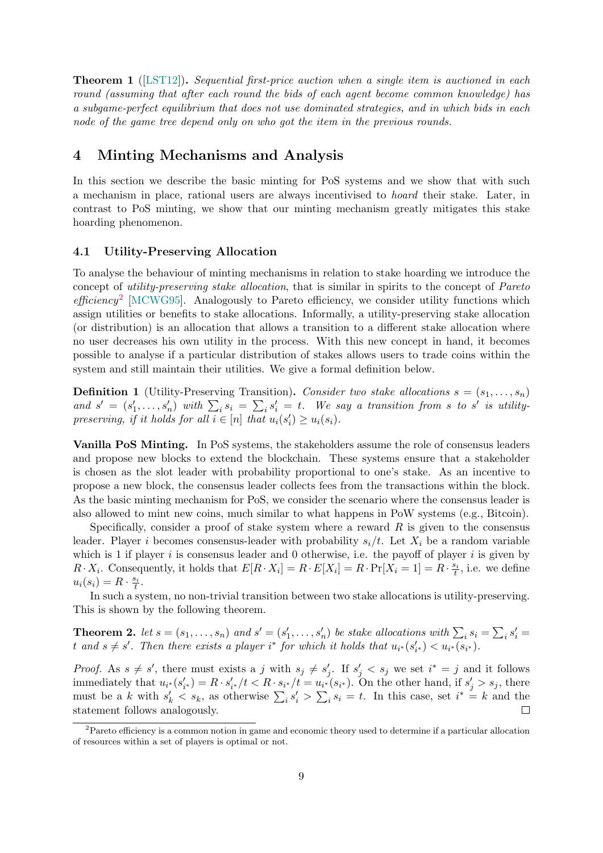**Theorem 1** ([\[LST12\]](#page-26-8)). Sequential first-price auction when a single item is auctioned in each round (assuming that after each round the bids of each agent become common knowledge) has a subgame-perfect equilibrium that does not use dominated strategies, and in which bids in each node of the game tree depend only on who got the item in the previous rounds.

# <span id="page-10-0"></span>4 Minting Mechanisms and Analysis

In this section we describe the basic minting for PoS systems and we show that with such a mechanism in place, rational users are always incentivised to hoard their stake. Later, in contrast to PoS minting, we show that our minting mechanism greatly mitigates this stake hoarding phenomenon.

## <span id="page-10-1"></span>4.1 Utility-Preserving Allocation

To analyse the behaviour of minting mechanisms in relation to stake hoarding we introduce the concept of *utility-preserving stake allocation*, that is similar in spirits to the concept of *Pareto*  $efficiency<sup>2</sup>$  $efficiency<sup>2</sup>$  $efficiency<sup>2</sup>$  [\[MCWG95\]](#page-27-11). Analogously to Pareto efficiency, we consider utility functions which assign utilities or benefits to stake allocations. Informally, a utility-preserving stake allocation (or distribution) is an allocation that allows a transition to a different stake allocation where no user decreases his own utility in the process. With this new concept in hand, it becomes possible to analyse if a particular distribution of stakes allows users to trade coins within the system and still maintain their utilities. We give a formal definition below.

**Definition 1** (Utility-Preserving Transition). Consider two stake allocations  $s = (s_1, \ldots, s_n)$ and  $s' = (s'_1, \ldots, s'_n)$  with  $\sum_i s_i = \sum_i s'_i = t$ . We say a transition from s to s' is utilitypreserving, if it holds for all  $i \in [n]$  that  $u_i(s'_i) \geq u_i(s_i)$ .

Vanilla PoS Minting. In PoS systems, the stakeholders assume the role of consensus leaders and propose new blocks to extend the blockchain. These systems ensure that a stakeholder is chosen as the slot leader with probability proportional to one's stake. As an incentive to propose a new block, the consensus leader collects fees from the transactions within the block. As the basic minting mechanism for PoS, we consider the scenario where the consensus leader is also allowed to mint new coins, much similar to what happens in PoW systems (e.g., Bitcoin).

Specifically, consider a proof of stake system where a reward  $R$  is given to the consensus leader. Player i becomes consensus-leader with probability  $s_i/t$ . Let  $X_i$  be a random variable which is 1 if player  $i$  is consensus leader and 0 otherwise, i.e. the payoff of player  $i$  is given by  $R \cdot X_i$ . Consequently, it holds that  $E[R \cdot X_i] = R \cdot E[X_i] = R \cdot Pr[X_i = 1] = R \cdot \frac{s_i}{t}$ , i.e. we define  $u_i(s_i) = R \cdot \frac{s_i}{t}.$ 

In such a system, no non-trivial transition between two stake allocations is utility-preserving. This is shown by the following theorem.

<span id="page-10-3"></span>**Theorem 2.** let  $s = (s_1, \ldots, s_n)$  and  $s' = (s'_1, \ldots, s'_n)$  be stake allocations with  $\sum_i s_i = \sum_i s'_i =$ t and  $s \neq s'$ . Then there exists a player i<sup>\*</sup> for which it holds that  $u_{i^*}(s'_{i^*}) < u_{i^*}(s_{i^*})$ .

*Proof.* As  $s \neq s'$ , there must exists a j with  $s_j \neq s'_j$ . If  $s'_j < s_j$  we set  $i^* = j$  and it follows immediately that  $u_{i^*}(s'_{i^*}) = R \cdot s'_{i^*}/t < R \cdot s_{i^*}/t = u_{i^*}(s_{i^*})$ . On the other hand, if  $s'_{j} > s_{j}$ , there must be a k with  $s'_k < s_k$ , as otherwise  $\sum_i s'_i > \sum_i s_i = t$ . In this case, set  $i^* = k$  and the statement follows analogously.  $\Box$ 

<span id="page-10-2"></span><sup>2</sup>Pareto efficiency is a common notion in game and economic theory used to determine if a particular allocation of resources within a set of players is optimal or not.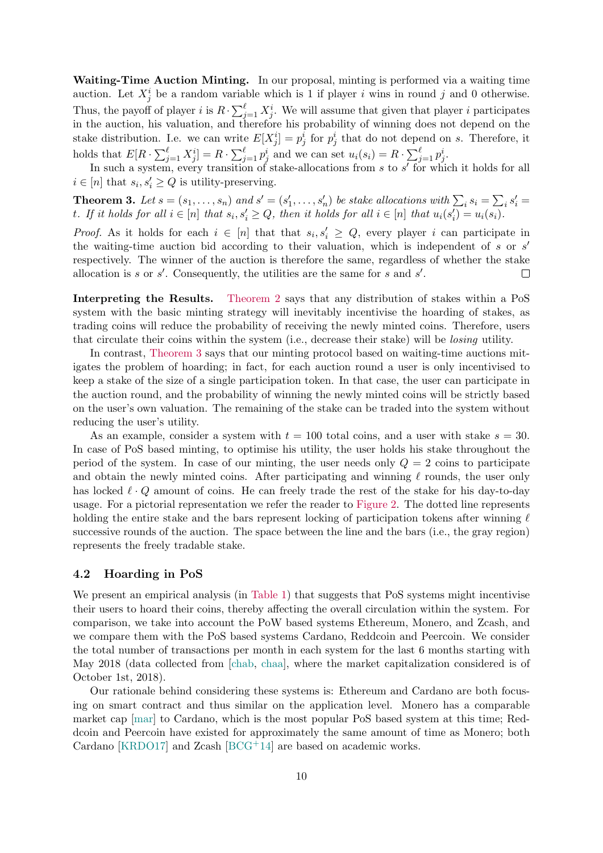Waiting-Time Auction Minting. In our proposal, minting is performed via a waiting time auction. Let  $X_j^i$  be a random variable which is 1 if player i wins in round j and 0 otherwise. Thus, the payoff of player i is  $R \cdot \sum_{j=1}^{\ell} X_j^i$ . We will assume that given that player i participates in the auction, his valuation, and therefore his probability of winning does not depend on the stake distribution. I.e. we can write  $E[X_j^i] = p_j^i$  for  $p_j^i$  that do not depend on s. Therefore, it holds that  $E[R \cdot \sum_{j=1}^{\ell} X_j^i] = R \cdot \sum_{j=1}^{\ell} p_j^i$  and we can set  $u_i(s_i) = R \cdot \sum_{j=1}^{\ell} p_j^i$ .

In such a system, every transition of stake-allocations from  $s$  to  $s'$  for which it holds for all  $i \in [n]$  that  $s_i, s'_i \ge Q$  is utility-preserving.

<span id="page-11-1"></span>**Theorem 3.** Let  $s = (s_1, \ldots, s_n)$  and  $s' = (s'_1, \ldots, s'_n)$  be stake allocations with  $\sum_i s_i = \sum_i s'_i =$ t. If it holds for all  $i \in [n]$  that  $s_i, s'_i \ge Q$ , then it holds for all  $i \in [n]$  that  $u_i(s'_i) = u_i(s_i)$ .

*Proof.* As it holds for each  $i \in [n]$  that that  $s_i, s'_i \geq Q$ , every player i can participate in the waiting-time auction bid according to their valuation, which is independent of  $s$  or  $s'$ respectively. The winner of the auction is therefore the same, regardless of whether the stake allocation is s or  $s'$ . Consequently, the utilities are the same for s and  $s'$ .  $\Box$ 

Interpreting the Results. [Theorem 2](#page-10-3) says that any distribution of stakes within a PoS system with the basic minting strategy will inevitably incentivise the hoarding of stakes, as trading coins will reduce the probability of receiving the newly minted coins. Therefore, users that circulate their coins within the system (i.e., decrease their stake) will be losing utility.

In contrast, [Theorem 3](#page-11-1) says that our minting protocol based on waiting-time auctions mitigates the problem of hoarding; in fact, for each auction round a user is only incentivised to keep a stake of the size of a single participation token. In that case, the user can participate in the auction round, and the probability of winning the newly minted coins will be strictly based on the user's own valuation. The remaining of the stake can be traded into the system without reducing the user's utility.

As an example, consider a system with  $t = 100$  total coins, and a user with stake  $s = 30$ . In case of PoS based minting, to optimise his utility, the user holds his stake throughout the period of the system. In case of our minting, the user needs only  $Q = 2$  coins to participate and obtain the newly minted coins. After participating and winning  $\ell$  rounds, the user only has locked  $\ell \cdot Q$  amount of coins. He can freely trade the rest of the stake for his day-to-day usage. For a pictorial representation we refer the reader to [Figure 2.](#page-12-2) The dotted line represents holding the entire stake and the bars represent locking of participation tokens after winning  $\ell$ successive rounds of the auction. The space between the line and the bars (i.e., the gray region) represents the freely tradable stake.

## <span id="page-11-0"></span>4.2 Hoarding in PoS

We present an empirical analysis (in [Table 1\)](#page-12-3) that suggests that PoS systems might incentivise their users to hoard their coins, thereby affecting the overall circulation within the system. For comparison, we take into account the PoW based systems Ethereum, Monero, and Zcash, and we compare them with the PoS based systems Cardano, Reddcoin and Peercoin. We consider the total number of transactions per month in each system for the last 6 months starting with May 2018 (data collected from [\[chab,](#page-25-3) [chaa\]](#page-25-4), where the market capitalization considered is of October 1st, 2018).

Our rationale behind considering these systems is: Ethereum and Cardano are both focusing on smart contract and thus similar on the application level. Monero has a comparable market cap [\[mar\]](#page-27-12) to Cardano, which is the most popular PoS based system at this time; Reddcoin and Peercoin have existed for approximately the same amount of time as Monero; both Cardano [\[KRDO17\]](#page-26-2) and Zcash [\[BCG](#page-24-5)+14] are based on academic works.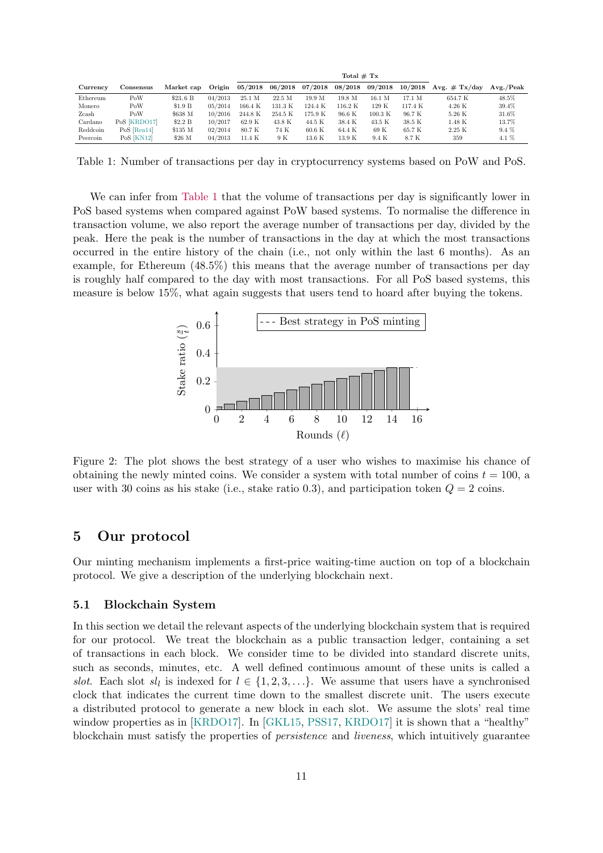<span id="page-12-3"></span>

|          |              |            |         |                   | Total $# Tx$ |                 |         |                  |         |                        |           |
|----------|--------------|------------|---------|-------------------|--------------|-----------------|---------|------------------|---------|------------------------|-----------|
| Currency | Consensus    | Market cap | Origin  | 05/2018           |              | 06/2018 07/2018 |         | 08/2018 09/2018  | 10/2018 | Avg. $\#\text{Tx/day}$ | Avg./Peak |
| Ethereum | PoW          | \$23.6B    | 04/2013 | 25.1 M            | 22.5 M       | 19.9 M          | 19.8 M  | $16.1$ M         | 17.1 M  | 654.7 K                | 48.5%     |
| Monero   | PoW          | \$1.9 B    | 05/2014 | 166.4 K           | 131.3 K      | 124.4 K         | 116.2 K | 129 K            | 117.4 K | 4.26 K                 | 39.4%     |
| Zcash    | PoW          | \$638 M    | 10/2016 | 244.8 K           | 254.5 K      | 175.9 K         | 96.6 K  | $100.3\text{ K}$ | 96.7 K  | $5.26\;K$              | 31.6%     |
| Cardano  | PoS [KRDO17] | \$2.2 B    | 10/2017 | 62.9 K            | 43.8 K       | 44.5 K          | 38.4 K  | 43.5 K           | 38.5 K  | $1.48\text{ K}$        | 13.7%     |
| Reddcoin | PoS [Ren14]  | \$135 M    | 02/2014 | 80.7 K            | 74 K         | $60.6\text{ K}$ | 64.4 K  | 69 K             | 65.7 K  | 2.25 K                 | $9.4\%$   |
| Peercoin | PoS [KN12]   | \$26 M     | 04/2013 | $11.4~\mathrm{K}$ | 9 K          | 13.6 K          | 13.9 K  | 9.4 K            | 8.7 K   | 359                    | 4.1 %     |

Table 1: Number of transactions per day in cryptocurrency systems based on PoW and PoS.

We can infer from [Table 1](#page-12-3) that the volume of transactions per day is significantly lower in PoS based systems when compared against PoW based systems. To normalise the difference in transaction volume, we also report the average number of transactions per day, divided by the peak. Here the peak is the number of transactions in the day at which the most transactions occurred in the entire history of the chain (i.e., not only within the last 6 months). As an example, for Ethereum (48.5%) this means that the average number of transactions per day is roughly half compared to the day with most transactions. For all PoS based systems, this measure is below 15%, what again suggests that users tend to hoard after buying the tokens.

<span id="page-12-2"></span>

Figure 2: The plot shows the best strategy of a user who wishes to maximise his chance of obtaining the newly minted coins. We consider a system with total number of coins  $t = 100$ , a user with 30 coins as his stake (i.e., stake ratio 0.3), and participation token  $Q = 2$  coins.

## <span id="page-12-0"></span>5 Our protocol

Our minting mechanism implements a first-price waiting-time auction on top of a blockchain protocol. We give a description of the underlying blockchain next.

### <span id="page-12-1"></span>5.1 Blockchain System

In this section we detail the relevant aspects of the underlying blockchain system that is required for our protocol. We treat the blockchain as a public transaction ledger, containing a set of transactions in each block. We consider time to be divided into standard discrete units, such as seconds, minutes, etc. A well defined continuous amount of these units is called a slot. Each slot  $sl_l$  is indexed for  $l \in \{1, 2, 3, \ldots\}$ . We assume that users have a synchronised clock that indicates the current time down to the smallest discrete unit. The users execute a distributed protocol to generate a new block in each slot. We assume the slots' real time window properties as in [\[KRDO17\]](#page-26-2). In [\[GKL15,](#page-25-1) [PSS17,](#page-28-6) [KRDO17\]](#page-26-2) it is shown that a "healthy" blockchain must satisfy the properties of persistence and liveness, which intuitively guarantee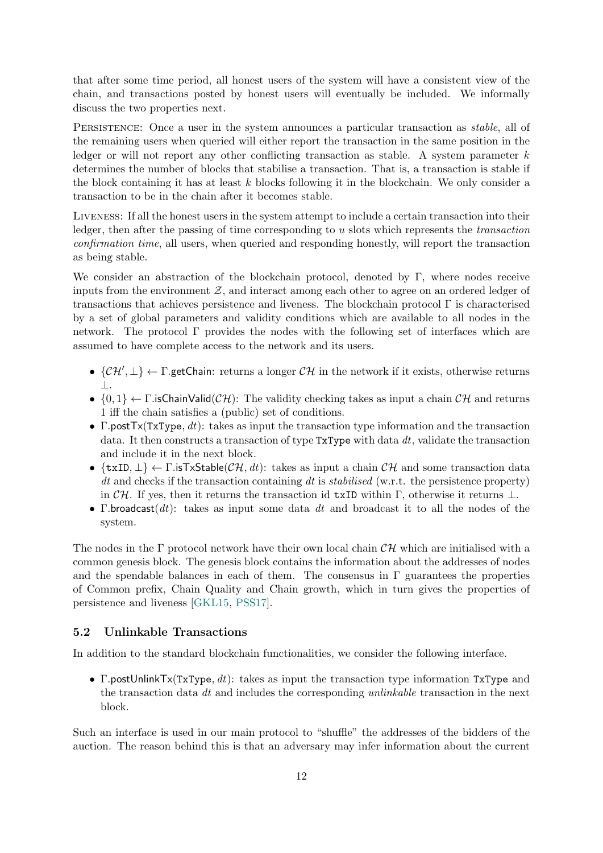that after some time period, all honest users of the system will have a consistent view of the chain, and transactions posted by honest users will eventually be included. We informally discuss the two properties next.

PERSISTENCE: Once a user in the system announces a particular transaction as *stable*, all of the remaining users when queried will either report the transaction in the same position in the ledger or will not report any other conflicting transaction as stable. A system parameter  $k$ determines the number of blocks that stabilise a transaction. That is, a transaction is stable if the block containing it has at least  $k$  blocks following it in the blockchain. We only consider a transaction to be in the chain after it becomes stable.

Liveness: If all the honest users in the system attempt to include a certain transaction into their ledger, then after the passing of time corresponding to u slots which represents the *transaction* confirmation time, all users, when queried and responding honestly, will report the transaction as being stable.

We consider an abstraction of the blockchain protocol, denoted by  $\Gamma$ , where nodes receive inputs from the environment  $\mathcal{Z}$ , and interact among each other to agree on an ordered ledger of transactions that achieves persistence and liveness. The blockchain protocol  $\Gamma$  is characterised by a set of global parameters and validity conditions which are available to all nodes in the network. The protocol Γ provides the nodes with the following set of interfaces which are assumed to have complete access to the network and its users.

- $\{\mathcal{CH}', \perp\} \leftarrow \Gamma$ .getChain: returns a longer  $\mathcal{CH}$  in the network if it exists, otherwise returns ⊥.
- $\{0,1\} \leftarrow \Gamma$ .isChainValid( $\mathcal{CH}$ ): The validity checking takes as input a chain  $\mathcal{CH}$  and returns 1 iff the chain satisfies a (public) set of conditions.
- Γ.postTx(TxType, dt): takes as input the transaction type information and the transaction data. It then constructs a transaction of type  $TxType$  with data dt, validate the transaction and include it in the next block.
- $\{\text{txID}, \perp\} \leftarrow \Gamma.\text{isTxStable}(\mathcal{CH}, dt): \text{takes as input a chain } \mathcal{CH} \text{ and some transaction data}$ dt and checks if the transaction containing dt is *stabilised* (w.r.t. the persistence property) in CH. If yes, then it returns the transaction id  $txID$  within Γ, otherwise it returns  $\perp$ .
- Γ.broadcast(dt): takes as input some data dt and broadcast it to all the nodes of the system.

The nodes in the Γ protocol network have their own local chain  $\mathcal{CH}$  which are initialised with a common genesis block. The genesis block contains the information about the addresses of nodes and the spendable balances in each of them. The consensus in  $\Gamma$  guarantees the properties of Common prefix, Chain Quality and Chain growth, which in turn gives the properties of persistence and liveness [\[GKL15,](#page-25-1) [PSS17\]](#page-28-6).

## <span id="page-13-0"></span>5.2 Unlinkable Transactions

In addition to the standard blockchain functionalities, we consider the following interface.

• Γ.postUnlinkTx(TxType,  $dt$ ): takes as input the transaction type information TxType and the transaction data dt and includes the corresponding unlinkable transaction in the next block.

Such an interface is used in our main protocol to "shuffle" the addresses of the bidders of the auction. The reason behind this is that an adversary may infer information about the current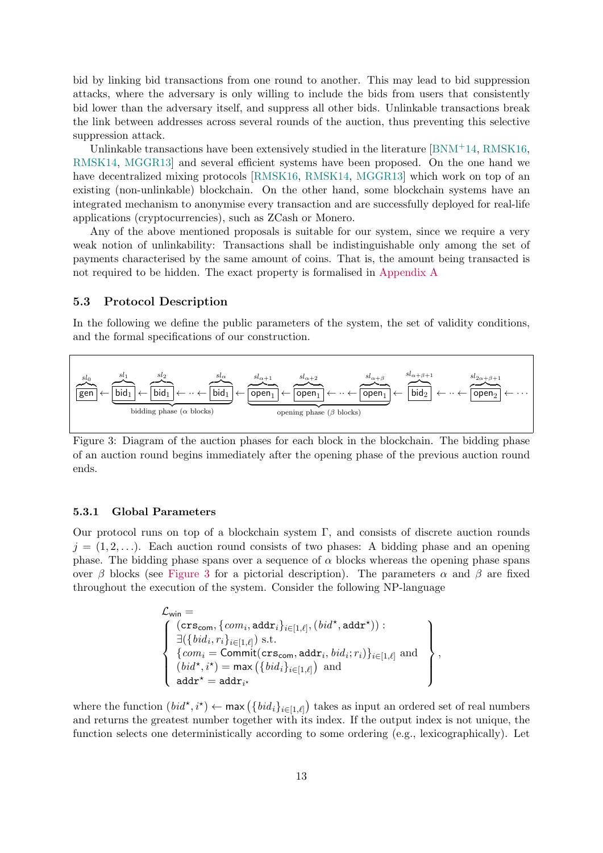bid by linking bid transactions from one round to another. This may lead to bid suppression attacks, where the adversary is only willing to include the bids from users that consistently bid lower than the adversary itself, and suppress all other bids. Unlinkable transactions break the link between addresses across several rounds of the auction, thus preventing this selective suppression attack.

Unlinkable transactions have been extensively studied in the literature  $[BNM+14, RMSK16,$  $[BNM+14, RMSK16,$ [RMSK14,](#page-28-10) [MGGR13\]](#page-27-13) and several efficient systems have been proposed. On the one hand we have decentralized mixing protocols [\[RMSK16,](#page-28-9) [RMSK14,](#page-28-10) [MGGR13\]](#page-27-13) which work on top of an existing (non-unlinkable) blockchain. On the other hand, some blockchain systems have an integrated mechanism to anonymise every transaction and are successfully deployed for real-life applications (cryptocurrencies), such as ZCash or Monero.

Any of the above mentioned proposals is suitable for our system, since we require a very weak notion of unlinkability: Transactions shall be indistinguishable only among the set of payments characterised by the same amount of coins. That is, the amount being transacted is not required to be hidden. The exact property is formalised in [Appendix A](#page-28-0)

#### <span id="page-14-0"></span>5.3 Protocol Description

In the following we define the public parameters of the system, the set of validity conditions, and the formal specifications of our construction.

<span id="page-14-2"></span>

Figure 3: Diagram of the auction phases for each block in the blockchain. The bidding phase of an auction round begins immediately after the opening phase of the previous auction round ends.

#### <span id="page-14-1"></span>5.3.1 Global Parameters

Our protocol runs on top of a blockchain system Γ, and consists of discrete auction rounds  $j = (1, 2, \ldots)$ . Each auction round consists of two phases: A bidding phase and an opening phase. The bidding phase spans over a sequence of  $\alpha$  blocks whereas the opening phase spans over β blocks (see [Figure 3](#page-14-2) for a pictorial description). The parameters  $\alpha$  and β are fixed throughout the execution of the system. Consider the following NP-language

$$
\mathcal{L}_{\text{win}} = \left\{ \begin{array}{l} (\texttt{crs}_{\texttt{com}}, \{com_i, \texttt{addr}_i\}_{i \in [1,\ell]}, (bid^\star, \texttt{addr}^\star)) : \\ \exists (\{bid_i, r_i\}_{i \in [1,\ell]}) \text{ s.t.} \\ \{com_i = \texttt{Commit}(\texttt{crs}_{\texttt{com}}, \texttt{addr}_i, bid_i; r_i)\}_{i \in [1,\ell]} \text{ and} \\ (bid^\star, i^\star) = \max \left( \{bid_i\}_{i \in [1,\ell]} \right) \text{ and} \\ \texttt{addr}^\star = \texttt{addr}_{i^\star} \end{array} \right\}
$$

,

where the function  $(bid^*, i^*) \leftarrow \max(\{bid_i\}_{i\in[1,\ell]})$  takes as input an ordered set of real numbers and returns the greatest number together with its index. If the output index is not unique, the function selects one deterministically according to some ordering (e.g., lexicographically). Let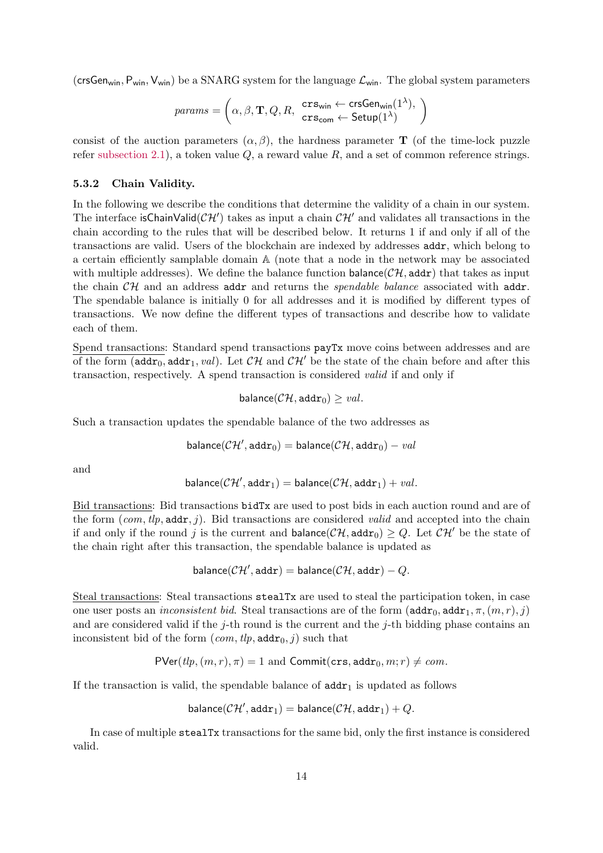(crsGen<sub>win</sub>, P<sub>win</sub>, V<sub>win</sub>) be a SNARG system for the language  $\mathcal{L}_{win}$ . The global system parameters

$$
\mathit{params} = \left(\alpha, \beta, \mathbf{T}, Q, R, \begin{array}{c} \mathtt{crs}_{\mathsf{win}} \leftarrow \mathtt{crs}_{\mathsf{Comwin}}(1^\lambda), \\ \mathtt{crs}_{\mathsf{com}} \leftarrow \mathsf{Setup}(1^\lambda) \end{array}\right)
$$

consist of the auction parameters  $(\alpha, \beta)$ , the hardness parameter **T** (of the time-lock puzzle refer [subsection 2.1\)](#page-6-1), a token value  $Q$ , a reward value  $R$ , and a set of common reference strings.

#### <span id="page-15-0"></span>5.3.2 Chain Validity.

In the following we describe the conditions that determine the validity of a chain in our system. The interface is Chain Valid $({\cal CH}')$  takes as input a chain  ${\cal CH}'$  and validates all transactions in the chain according to the rules that will be described below. It returns 1 if and only if all of the transactions are valid. Users of the blockchain are indexed by addresses addr, which belong to a certain efficiently samplable domain A (note that a node in the network may be associated with multiple addresses). We define the balance function balance  $(\mathcal{CH}, \text{addr})$  that takes as input the chain  $\mathcal{CH}$  and an address addr and returns the *spendable balance* associated with addr. The spendable balance is initially 0 for all addresses and it is modified by different types of transactions. We now define the different types of transactions and describe how to validate each of them.

Spend transactions: Standard spend transactions payTx move coins between addresses and are of the form ( $\text{addr}_0, \text{addr}_1, \text{val}$ ). Let  $\mathcal{CH}$  and  $\mathcal{CH}'$  be the state of the chain before and after this transaction, respectively. A spend transaction is considered valid if and only if

balance( $\mathcal{CH}, \text{addr}_0$ )  $\geq val.$ 

Such a transaction updates the spendable balance of the two addresses as

$$
\textsf{balance}(\mathcal{CH}',\texttt{addr}_0) = \textsf{balance}(\mathcal{CH},\texttt{addr}_0) - \textit{val}
$$

and

$$
\mathsf{balance}(\mathcal{CH}',\mathsf{addr}_1) = \mathsf{balance}(\mathcal{CH},\mathsf{addr}_1) + \mathit{val}.
$$

Bid transactions: Bid transactions bidTx are used to post bids in each auction round and are of the form  $(com, tp, addr, j)$ . Bid transactions are considered valid and accepted into the chain if and only if the round j is the current and balance( $\mathcal{CH}$ , addr<sub>0</sub>)  $\geq Q$ . Let  $\mathcal{CH}'$  be the state of the chain right after this transaction, the spendable balance is updated as

$$
\text{balance}(\mathcal{CH}', \text{addr}) = \text{balance}(\mathcal{CH}, \text{addr}) - Q.
$$

Steal transactions: Steal transactions stealTx are used to steal the participation token, in case one user posts an *inconsistent bid.* Steal transactions are of the form  $(\text{addr}_0, \text{addr}_1, \pi, (m, r), j)$ and are considered valid if the j-th round is the current and the j-th bidding phase contains an inconsistent bid of the form  $(com, tlp, addr_0, j)$  such that

$$
PVer(tlp, (m, r), \pi) = 1 \text{ and Commit(crs, addr_0, m; r) \neq com.
$$

If the transaction is valid, the spendable balance of  $\text{addr}_1$  is updated as follows

$$
\text{balance}(\mathcal{CH}', \text{addr}_1) = \text{balance}(\mathcal{CH}, \text{addr}_1) + Q.
$$

In case of multiple stealTx transactions for the same bid, only the first instance is considered valid.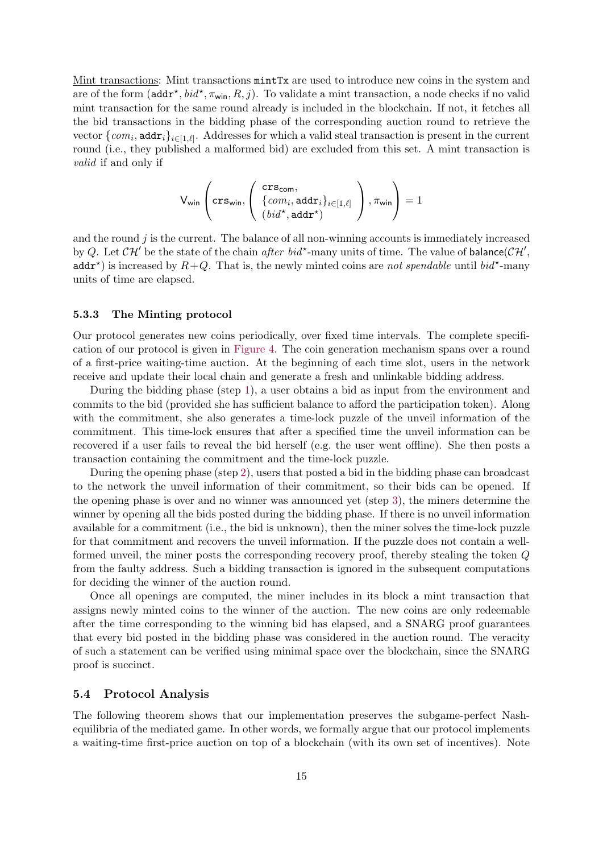Mint transactions: Mint transactions mintTx are used to introduce new coins in the system and are of the form  $(\text{addr}^*, bid^*, \pi_{\text{win}}, R, j)$ . To validate a mint transaction, a node checks if no valid mint transaction for the same round already is included in the blockchain. If not, it fetches all the bid transactions in the bidding phase of the corresponding auction round to retrieve the vector  $\{com_i, \text{addr}_i\}_{i \in [1,\ell]}$ . Addresses for which a valid steal transaction is present in the current round (i.e., they published a malformed bid) are excluded from this set. A mint transaction is valid if and only if

$$
\mathsf{V}_{\mathsf{win}}\left(\mathsf{crs}_{\mathsf{win}},\left(\begin{array}{l}\mathsf{crs}_{\mathsf{com}},\\ \{\mathit{com}_i,\mathsf{addr}_i\}_{i\in[1,\ell]}\\\left(\mathit{bid}^\star,\mathsf{addr}^\star\right)\end{array}\right),\pi_{\mathsf{win}}\right)=1
$$

and the round  $j$  is the current. The balance of all non-winning accounts is immediately increased by Q. Let  $\mathcal{CH}'$  be the state of the chain after bid<sup>\*</sup>-many units of time. The value of balance( $\mathcal{CH}'$ , addr<sup>\*</sup>) is increased by  $R+Q$ . That is, the newly minted coins are not spendable until bid<sup>\*</sup>-many units of time are elapsed.

#### <span id="page-16-0"></span>5.3.3 The Minting protocol

Our protocol generates new coins periodically, over fixed time intervals. The complete specification of our protocol is given in [Figure 4.](#page-17-0) The coin generation mechanism spans over a round of a first-price waiting-time auction. At the beginning of each time slot, users in the network receive and update their local chain and generate a fresh and unlinkable bidding address.

During the bidding phase (step [1\)](#page-17-1), a user obtains a bid as input from the environment and commits to the bid (provided she has sufficient balance to afford the participation token). Along with the commitment, she also generates a time-lock puzzle of the unveil information of the commitment. This time-lock ensures that after a specified time the unveil information can be recovered if a user fails to reveal the bid herself (e.g. the user went offline). She then posts a transaction containing the commitment and the time-lock puzzle.

During the opening phase (step [2\)](#page-17-2), users that posted a bid in the bidding phase can broadcast to the network the unveil information of their commitment, so their bids can be opened. If the opening phase is over and no winner was announced yet (step [3\)](#page-17-3), the miners determine the winner by opening all the bids posted during the bidding phase. If there is no unveil information available for a commitment (i.e., the bid is unknown), then the miner solves the time-lock puzzle for that commitment and recovers the unveil information. If the puzzle does not contain a wellformed unveil, the miner posts the corresponding recovery proof, thereby stealing the token Q from the faulty address. Such a bidding transaction is ignored in the subsequent computations for deciding the winner of the auction round.

Once all openings are computed, the miner includes in its block a mint transaction that assigns newly minted coins to the winner of the auction. The new coins are only redeemable after the time corresponding to the winning bid has elapsed, and a SNARG proof guarantees that every bid posted in the bidding phase was considered in the auction round. The veracity of such a statement can be verified using minimal space over the blockchain, since the SNARG proof is succinct.

#### <span id="page-16-1"></span>5.4 Protocol Analysis

The following theorem shows that our implementation preserves the subgame-perfect Nashequilibria of the mediated game. In other words, we formally argue that our protocol implements a waiting-time first-price auction on top of a blockchain (with its own set of incentives). Note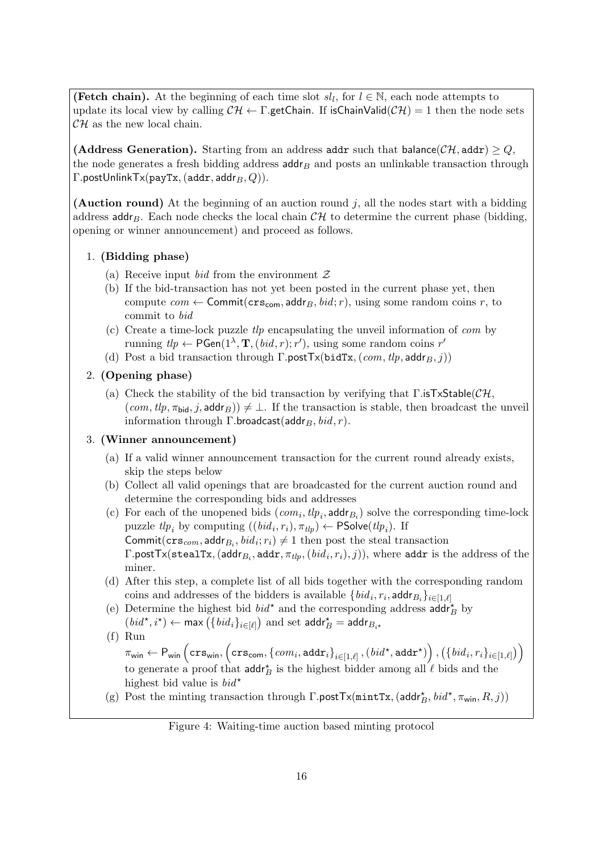<span id="page-17-0"></span>(Fetch chain). At the beginning of each time slot  $sl_l$ , for  $l \in \mathbb{N}$ , each node attempts to update its local view by calling  $\mathcal{CH} \leftarrow \Gamma$ .getChain. If isChainValid( $\mathcal{CH}$ ) = 1 then the node sets  $\mathcal{CH}$  as the new local chain.

(Address Generation). Starting from an address addr such that balance( $\mathcal{CH}$ , addr)  $\geq Q$ , the node generates a fresh bidding address  $\mathsf{addr}_B$  and posts an unlinkable transaction through  $\Gamma$ .postUnlinkTx(payTx, (addr, addr $_B$ , Q)).

(**Auction round**) At the beginning of an auction round  $j$ , all the nodes start with a bidding address addr<sub>B</sub>. Each node checks the local chain  $\mathcal{CH}$  to determine the current phase (bidding, opening or winner announcement) and proceed as follows.

## <span id="page-17-1"></span>1. (Bidding phase)

- (a) Receive input bid from the environment  $\mathcal Z$
- (b) If the bid-transaction has not yet been posted in the current phase yet, then compute  $com \leftarrow$  Commit( $\text{crs}_{com}$ , addr<sub>B</sub>, bid; r), using some random coins r, to commit to bid
- (c) Create a time-lock puzzle  $tlp$  encapsulating the unveil information of  $com$  by running  $tlp \leftarrow \mathsf{PGen}(1^{\lambda}, \mathbf{T}, (\mathit{bid}, r); r'),$  using some random coins  $r'$
- (d) Post a bid transaction through  $\Gamma$ .postTx(bidTx,(com, tlp, addr<sub>B</sub>, j))

## <span id="page-17-2"></span>2. (Opening phase)

(a) Check the stability of the bid transaction by verifying that  $\Gamma$ .isTxStable( $\mathcal{CH}$ ,  $(com, tp, \pi_{bid}, j, addr_B)) \neq \bot$ . If the transaction is stable, then broadcast the unveil information through  $\Gamma$ .broadcast(addr<sub>B</sub>, bid, r).

## <span id="page-17-3"></span>3. (Winner announcement)

- (a) If a valid winner announcement transaction for the current round already exists, skip the steps below
- (b) Collect all valid openings that are broadcasted for the current auction round and determine the corresponding bids and addresses
- (c) For each of the unopened bids  $(com_i, tl_{i_i})$  solve the corresponding time-lock puzzle  $tlp_i$  by computing  $((bid_i, r_i), \pi_{tlp}) \leftarrow \mathsf{PSolve}(tlp_i)$ . If Commit( $\text{crs}_{com}$ , add $r_{B_i}$ ,  $bid_i; r_i) \neq 1$  then post the steal transaction  $\Gamma.$ post $\mathsf{Tx}(\mathtt{stealTx},(\mathsf{addr}_{B_i},\mathsf{addr},\pi_{tlp},(\mathit{bid}_i,r_i),j)),$  where  $\mathtt{addr}$  is the  $\mathtt{address}$  of the miner.
- (d) After this step, a complete list of all bids together with the corresponding random coins and addresses of the bidders is available  $\{bid_i, r_i, \textsf{addr}_{B_i}\}_{i \in [1,\ell]}$
- (e) Determine the highest bid  $bid^*$  and the corresponding address addr<sup>\*</sup><sub>B</sub> by  $(\mathit{bid}^\star, i^\star) \leftarrow \textsf{max}\left(\{\mathit{bid}_i\}_{i \in [\ell]}\right) \text{ and set } \mathsf{addr}_B^\star = \mathsf{addr}_{B_{i^\star}}$
- (f) Run

 $\pi_{\mathsf{win}} \gets \mathsf{P_{win}}\left(\texttt{crs}_{\mathsf{win}},\left(\texttt{crs}_{\mathsf{com}},\{{com}_i,\mathsf{addr}_i\}_{i\in[1,\ell]},(bid^\star,\mathsf{addr}^\star)\right),\left(\{bid_i,r_i\}_{i\in[1,\ell]})\right)$ to generate a proof that  $\mathsf{addr}_B^*$  is the highest bidder among all  $\ell$  bids and the highest bid value is  $bid^{\star}$ 

(g) Post the minting transaction through  $\Gamma$ .postTx( $\texttt{mintTx},(\texttt{addr}_B^\star,\textit{bid}^\star,\pi_\mathsf{win},R,j))$ 

Figure 4: Waiting-time auction based minting protocol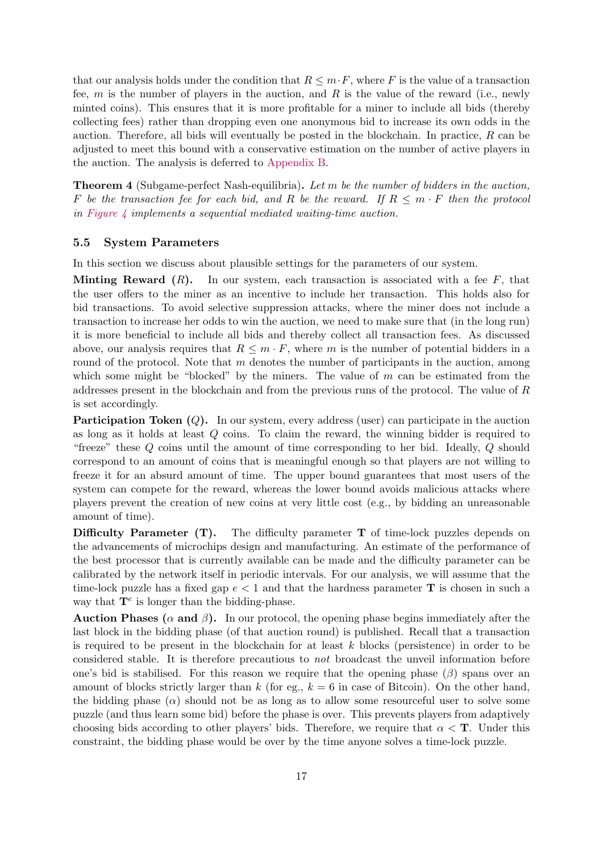that our analysis holds under the condition that  $R \leq m \cdot F$ , where F is the value of a transaction fee,  $m$  is the number of players in the auction, and  $R$  is the value of the reward (i.e., newly minted coins). This ensures that it is more profitable for a miner to include all bids (thereby collecting fees) rather than dropping even one anonymous bid to increase its own odds in the auction. Therefore, all bids will eventually be posted in the blockchain. In practice,  $R$  can be adjusted to meet this bound with a conservative estimation on the number of active players in the auction. The analysis is deferred to [Appendix B.](#page-31-1)

<span id="page-18-1"></span>Theorem 4 (Subgame-perfect Nash-equilibria). Let m be the number of bidders in the auction, F be the transaction fee for each bid, and R be the reward. If  $R \leq m \cdot F$  then the protocol in Figure  $\mu$  implements a sequential mediated waiting-time auction.

## <span id="page-18-0"></span>5.5 System Parameters

In this section we discuss about plausible settings for the parameters of our system.

**Minting Reward**  $(R)$ . In our system, each transaction is associated with a fee  $F$ , that the user offers to the miner as an incentive to include her transaction. This holds also for bid transactions. To avoid selective suppression attacks, where the miner does not include a transaction to increase her odds to win the auction, we need to make sure that (in the long run) it is more beneficial to include all bids and thereby collect all transaction fees. As discussed above, our analysis requires that  $R \leq m \cdot F$ , where m is the number of potential bidders in a round of the protocol. Note that  $m$  denotes the number of participants in the auction, among which some might be "blocked" by the miners. The value of  $m$  can be estimated from the addresses present in the blockchain and from the previous runs of the protocol. The value of R is set accordingly.

**Participation Token**  $(Q)$ . In our system, every address (user) can participate in the auction as long as it holds at least Q coins. To claim the reward, the winning bidder is required to "freeze" these Q coins until the amount of time corresponding to her bid. Ideally, Q should correspond to an amount of coins that is meaningful enough so that players are not willing to freeze it for an absurd amount of time. The upper bound guarantees that most users of the system can compete for the reward, whereas the lower bound avoids malicious attacks where players prevent the creation of new coins at very little cost (e.g., by bidding an unreasonable amount of time).

Difficulty Parameter (T). The difficulty parameter T of time-lock puzzles depends on the advancements of microchips design and manufacturing. An estimate of the performance of the best processor that is currently available can be made and the difficulty parameter can be calibrated by the network itself in periodic intervals. For our analysis, we will assume that the time-lock puzzle has a fixed gap  $e < 1$  and that the hardness parameter **T** is chosen in such a way that  $T^e$  is longer than the bidding-phase.

**Auction Phases** ( $\alpha$  and  $\beta$ ). In our protocol, the opening phase begins immediately after the last block in the bidding phase (of that auction round) is published. Recall that a transaction is required to be present in the blockchain for at least  $k$  blocks (persistence) in order to be considered stable. It is therefore precautious to not broadcast the unveil information before one's bid is stabilised. For this reason we require that the opening phase  $(\beta)$  spans over an amount of blocks strictly larger than k (for eg.,  $k = 6$  in case of Bitcoin). On the other hand, the bidding phase  $(\alpha)$  should not be as long as to allow some resourceful user to solve some puzzle (and thus learn some bid) before the phase is over. This prevents players from adaptively choosing bids according to other players' bids. Therefore, we require that  $\alpha < \mathbf{T}$ . Under this constraint, the bidding phase would be over by the time anyone solves a time-lock puzzle.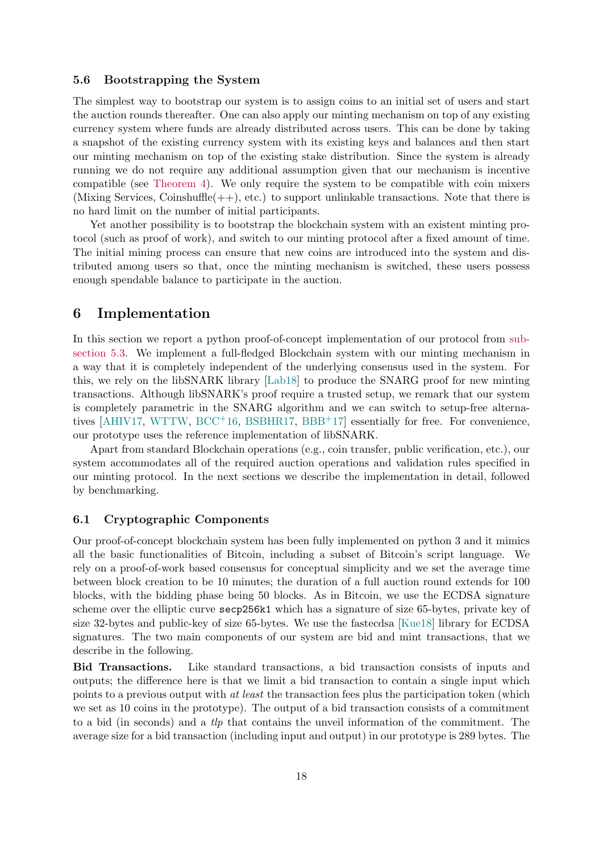## <span id="page-19-0"></span>5.6 Bootstrapping the System

The simplest way to bootstrap our system is to assign coins to an initial set of users and start the auction rounds thereafter. One can also apply our minting mechanism on top of any existing currency system where funds are already distributed across users. This can be done by taking a snapshot of the existing currency system with its existing keys and balances and then start our minting mechanism on top of the existing stake distribution. Since the system is already running we do not require any additional assumption given that our mechanism is incentive compatible (see [Theorem 4\)](#page-18-1). We only require the system to be compatible with coin mixers (Mixing Services, Coinshuffle $(++)$ , etc.) to support unlinkable transactions. Note that there is no hard limit on the number of initial participants.

Yet another possibility is to bootstrap the blockchain system with an existent minting protocol (such as proof of work), and switch to our minting protocol after a fixed amount of time. The initial mining process can ensure that new coins are introduced into the system and distributed among users so that, once the minting mechanism is switched, these users possess enough spendable balance to participate in the auction.

# <span id="page-19-1"></span>6 Implementation

In this section we report a python proof-of-concept implementation of our protocol from [sub](#page-14-0)[section 5.3.](#page-14-0) We implement a full-fledged Blockchain system with our minting mechanism in a way that it is completely independent of the underlying consensus used in the system. For this, we rely on the libSNARK library [\[Lab18\]](#page-26-11) to produce the SNARG proof for new minting transactions. Although libSNARK's proof require a trusted setup, we remark that our system is completely parametric in the SNARG algorithm and we can switch to setup-free alternatives  $[AHIV17, WTTW, BCC<sup>+</sup>16, BSBHR17, BBB<sup>+</sup>17]$  $[AHIV17, WTTW, BCC<sup>+</sup>16, BSBHR17, BBB<sup>+</sup>17]$  $[AHIV17, WTTW, BCC<sup>+</sup>16, BSBHR17, BBB<sup>+</sup>17]$  $[AHIV17, WTTW, BCC<sup>+</sup>16, BSBHR17, BBB<sup>+</sup>17]$  $[AHIV17, WTTW, BCC<sup>+</sup>16, BSBHR17, BBB<sup>+</sup>17]$  $[AHIV17, WTTW, BCC<sup>+</sup>16, BSBHR17, BBB<sup>+</sup>17]$  $[AHIV17, WTTW, BCC<sup>+</sup>16, BSBHR17, BBB<sup>+</sup>17]$  $[AHIV17, WTTW, BCC<sup>+</sup>16, BSBHR17, BBB<sup>+</sup>17]$  $[AHIV17, WTTW, BCC<sup>+</sup>16, BSBHR17, BBB<sup>+</sup>17]$  essentially for free. For convenience, our prototype uses the reference implementation of libSNARK.

Apart from standard Blockchain operations (e.g., coin transfer, public verification, etc.), our system accommodates all of the required auction operations and validation rules specified in our minting protocol. In the next sections we describe the implementation in detail, followed by benchmarking.

### <span id="page-19-2"></span>6.1 Cryptographic Components

Our proof-of-concept blockchain system has been fully implemented on python 3 and it mimics all the basic functionalities of Bitcoin, including a subset of Bitcoin's script language. We rely on a proof-of-work based consensus for conceptual simplicity and we set the average time between block creation to be 10 minutes; the duration of a full auction round extends for 100 blocks, with the bidding phase being 50 blocks. As in Bitcoin, we use the ECDSA signature scheme over the elliptic curve secp256k1 which has a signature of size 65-bytes, private key of size 32-bytes and public-key of size 65-bytes. We use the fastecdsa [\[Kue18\]](#page-26-12) library for ECDSA signatures. The two main components of our system are bid and mint transactions, that we describe in the following.

Bid Transactions. Like standard transactions, a bid transaction consists of inputs and outputs; the difference here is that we limit a bid transaction to contain a single input which points to a previous output with at least the transaction fees plus the participation token (which we set as 10 coins in the prototype). The output of a bid transaction consists of a commitment to a bid (in seconds) and a tlp that contains the unveil information of the commitment. The average size for a bid transaction (including input and output) in our prototype is 289 bytes. The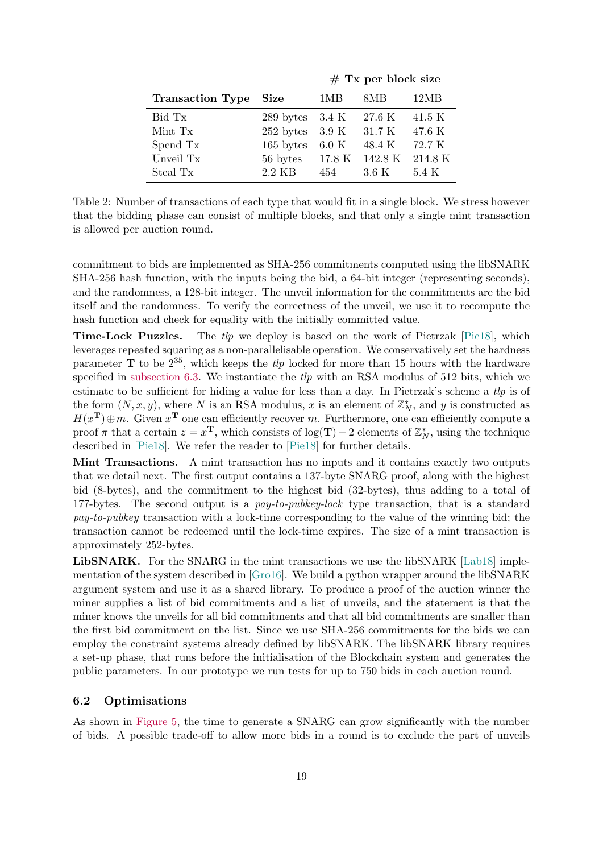<span id="page-20-1"></span>

|                         |                            |        | $# Tx$ per block size |                 |
|-------------------------|----------------------------|--------|-----------------------|-----------------|
| <b>Transaction Type</b> | <b>Size</b>                | 1 M B  | 8MB                   | 12MB            |
| Bid Tx                  | 289 bytes $3.4~\mathrm{K}$ |        | 27.6 K                | $41.5\text{ K}$ |
| Mint Tx                 | $252$ bytes                | 3.9 K  | 31.7 K                | 47.6 K          |
| Spend Tx                | $165$ bytes                | 6.0 K  | 48.4 K                | 72.7 K          |
| Unveil Tx               | 56 bytes                   | 17.8 K | 142.8 K               | 214.8 K         |
| Steal Tx                | 2.2 KB                     | 454    | 3.6 K                 | 5.4 K           |

Table 2: Number of transactions of each type that would fit in a single block. We stress however that the bidding phase can consist of multiple blocks, and that only a single mint transaction is allowed per auction round.

commitment to bids are implemented as SHA-256 commitments computed using the libSNARK SHA-256 hash function, with the inputs being the bid, a 64-bit integer (representing seconds), and the randomness, a 128-bit integer. The unveil information for the commitments are the bid itself and the randomness. To verify the correctness of the unveil, we use it to recompute the hash function and check for equality with the initially committed value.

Time-Lock Puzzles. The tlp we deploy is based on the work of Pietrzak [\[Pie18\]](#page-27-8), which leverages repeated squaring as a non-parallelisable operation. We conservatively set the hardness parameter **T** to be  $2^{35}$ , which keeps the tlp locked for more than 15 hours with the hardware specified in [subsection 6.3.](#page-21-0) We instantiate the  $\textit{tlp}$  with an RSA modulus of 512 bits, which we estimate to be sufficient for hiding a value for less than a day. In Pietrzak's scheme a tlp is of the form  $(N, x, y)$ , where N is an RSA modulus, x is an element of  $\mathbb{Z}_N^*$ , and y is constructed as  $H(x^{\mathrm{T}}) \oplus m$ . Given  $x^{\mathrm{T}}$  one can efficiently recover m. Furthermore, one can efficiently compute a proof  $\pi$  that a certain  $z = x^T$ , which consists of  $\log(T) - 2$  elements of  $\mathbb{Z}_N^*$ , using the technique described in [\[Pie18\]](#page-27-8). We refer the reader to [\[Pie18\]](#page-27-8) for further details.

Mint Transactions. A mint transaction has no inputs and it contains exactly two outputs that we detail next. The first output contains a 137-byte SNARG proof, along with the highest bid (8-bytes), and the commitment to the highest bid (32-bytes), thus adding to a total of 177-bytes. The second output is a pay-to-pubkey-lock type transaction, that is a standard pay-to-pubkey transaction with a lock-time corresponding to the value of the winning bid; the transaction cannot be redeemed until the lock-time expires. The size of a mint transaction is approximately 252-bytes.

LibSNARK. For the SNARG in the mint transactions we use the libSNARK [\[Lab18\]](#page-26-11) implementation of the system described in [\[Gro16\]](#page-26-13). We build a python wrapper around the libSNARK argument system and use it as a shared library. To produce a proof of the auction winner the miner supplies a list of bid commitments and a list of unveils, and the statement is that the miner knows the unveils for all bid commitments and that all bid commitments are smaller than the first bid commitment on the list. Since we use SHA-256 commitments for the bids we can employ the constraint systems already defined by libSNARK. The libSNARK library requires a set-up phase, that runs before the initialisation of the Blockchain system and generates the public parameters. In our prototype we run tests for up to 750 bids in each auction round.

## <span id="page-20-0"></span>6.2 Optimisations

As shown in [Figure 5,](#page-21-1) the time to generate a SNARG can grow significantly with the number of bids. A possible trade-off to allow more bids in a round is to exclude the part of unveils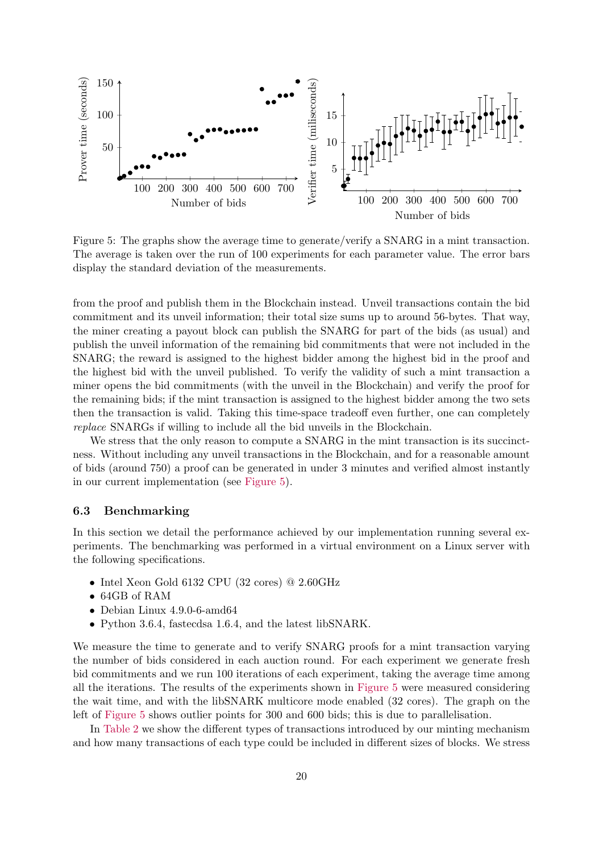<span id="page-21-1"></span>

Figure 5: The graphs show the average time to generate/verify a SNARG in a mint transaction. The average is taken over the run of 100 experiments for each parameter value. The error bars display the standard deviation of the measurements.

from the proof and publish them in the Blockchain instead. Unveil transactions contain the bid commitment and its unveil information; their total size sums up to around 56-bytes. That way, the miner creating a payout block can publish the SNARG for part of the bids (as usual) and publish the unveil information of the remaining bid commitments that were not included in the SNARG; the reward is assigned to the highest bidder among the highest bid in the proof and the highest bid with the unveil published. To verify the validity of such a mint transaction a miner opens the bid commitments (with the unveil in the Blockchain) and verify the proof for the remaining bids; if the mint transaction is assigned to the highest bidder among the two sets then the transaction is valid. Taking this time-space tradeoff even further, one can completely replace SNARGs if willing to include all the bid unveils in the Blockchain.

We stress that the only reason to compute a SNARG in the mint transaction is its succinctness. Without including any unveil transactions in the Blockchain, and for a reasonable amount of bids (around 750) a proof can be generated in under 3 minutes and verified almost instantly in our current implementation (see [Figure 5\)](#page-21-1).

## <span id="page-21-0"></span>6.3 Benchmarking

In this section we detail the performance achieved by our implementation running several experiments. The benchmarking was performed in a virtual environment on a Linux server with the following specifications.

- Intel Xeon Gold 6132 CPU (32 cores) @ 2.60GHz
- 64GB of RAM
- Debian Linux 4.9.0-6-amd64
- Python 3.6.4, fastecdsa 1.6.4, and the latest libSNARK.

We measure the time to generate and to verify SNARG proofs for a mint transaction varying the number of bids considered in each auction round. For each experiment we generate fresh bid commitments and we run 100 iterations of each experiment, taking the average time among all the iterations. The results of the experiments shown in [Figure 5](#page-21-1) were measured considering the wait time, and with the libSNARK multicore mode enabled (32 cores). The graph on the left of [Figure 5](#page-21-1) shows outlier points for 300 and 600 bids; this is due to parallelisation.

In [Table 2](#page-20-1) we show the different types of transactions introduced by our minting mechanism and how many transactions of each type could be included in different sizes of blocks. We stress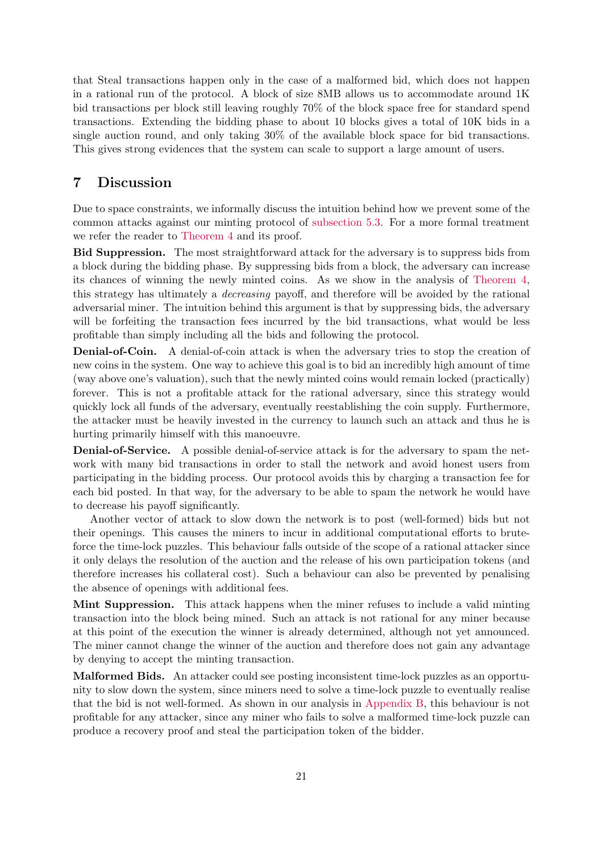that Steal transactions happen only in the case of a malformed bid, which does not happen in a rational run of the protocol. A block of size 8MB allows us to accommodate around 1K bid transactions per block still leaving roughly 70% of the block space free for standard spend transactions. Extending the bidding phase to about 10 blocks gives a total of 10K bids in a single auction round, and only taking 30% of the available block space for bid transactions. This gives strong evidences that the system can scale to support a large amount of users.

# <span id="page-22-0"></span>7 Discussion

Due to space constraints, we informally discuss the intuition behind how we prevent some of the common attacks against our minting protocol of [subsection 5.3.](#page-14-0) For a more formal treatment we refer the reader to [Theorem 4](#page-18-1) and its proof.

Bid Suppression. The most straightforward attack for the adversary is to suppress bids from a block during the bidding phase. By suppressing bids from a block, the adversary can increase its chances of winning the newly minted coins. As we show in the analysis of [Theorem 4,](#page-18-1) this strategy has ultimately a decreasing payoff, and therefore will be avoided by the rational adversarial miner. The intuition behind this argument is that by suppressing bids, the adversary will be forfeiting the transaction fees incurred by the bid transactions, what would be less profitable than simply including all the bids and following the protocol.

Denial-of-Coin. A denial-of-coin attack is when the adversary tries to stop the creation of new coins in the system. One way to achieve this goal is to bid an incredibly high amount of time (way above one's valuation), such that the newly minted coins would remain locked (practically) forever. This is not a profitable attack for the rational adversary, since this strategy would quickly lock all funds of the adversary, eventually reestablishing the coin supply. Furthermore, the attacker must be heavily invested in the currency to launch such an attack and thus he is hurting primarily himself with this manoeuvre.

Denial-of-Service. A possible denial-of-service attack is for the adversary to spam the network with many bid transactions in order to stall the network and avoid honest users from participating in the bidding process. Our protocol avoids this by charging a transaction fee for each bid posted. In that way, for the adversary to be able to spam the network he would have to decrease his payoff significantly.

Another vector of attack to slow down the network is to post (well-formed) bids but not their openings. This causes the miners to incur in additional computational efforts to bruteforce the time-lock puzzles. This behaviour falls outside of the scope of a rational attacker since it only delays the resolution of the auction and the release of his own participation tokens (and therefore increases his collateral cost). Such a behaviour can also be prevented by penalising the absence of openings with additional fees.

Mint Suppression. This attack happens when the miner refuses to include a valid minting transaction into the block being mined. Such an attack is not rational for any miner because at this point of the execution the winner is already determined, although not yet announced. The miner cannot change the winner of the auction and therefore does not gain any advantage by denying to accept the minting transaction.

Malformed Bids. An attacker could see posting inconsistent time-lock puzzles as an opportunity to slow down the system, since miners need to solve a time-lock puzzle to eventually realise that the bid is not well-formed. As shown in our analysis in [Appendix B,](#page-31-1) this behaviour is not profitable for any attacker, since any miner who fails to solve a malformed time-lock puzzle can produce a recovery proof and steal the participation token of the bidder.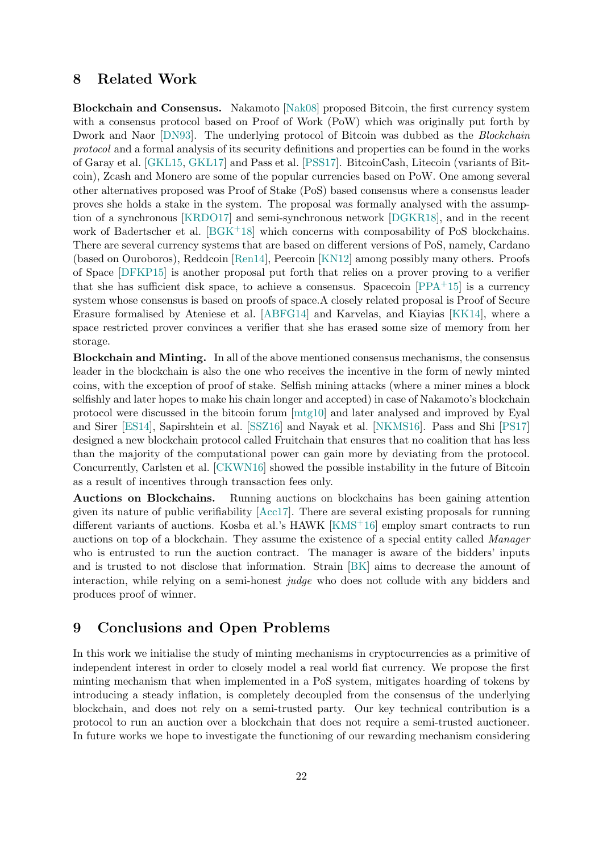# <span id="page-23-0"></span>8 Related Work

Blockchain and Consensus. Nakamoto [\[Nak08\]](#page-27-0) proposed Bitcoin, the first currency system with a consensus protocol based on Proof of Work (PoW) which was originally put forth by Dwork and Naor [\[DN93\]](#page-25-7). The underlying protocol of Bitcoin was dubbed as the *Blockchain* protocol and a formal analysis of its security definitions and properties can be found in the works of Garay et al. [\[GKL15,](#page-25-1) [GKL17\]](#page-26-5) and Pass et al. [\[PSS17\]](#page-28-6). BitcoinCash, Litecoin (variants of Bitcoin), Zcash and Monero are some of the popular currencies based on PoW. One among several other alternatives proposed was Proof of Stake (PoS) based consensus where a consensus leader proves she holds a stake in the system. The proposal was formally analysed with the assumption of a synchronous [\[KRDO17\]](#page-26-2) and semi-synchronous network [\[DGKR18\]](#page-25-8), and in the recent work of Badertscher et al. [\[BGK](#page-24-9)+18] which concerns with composability of PoS blockchains. There are several currency systems that are based on different versions of PoS, namely, Cardano (based on Ouroboros), Reddcoin [\[Ren14\]](#page-28-8), Peercoin [\[KN12\]](#page-26-1) among possibly many others. Proofs of Space [\[DFKP15\]](#page-25-0) is another proposal put forth that relies on a prover proving to a verifier that she has sufficient disk space, to achieve a consensus. Spacecoin  $[PPA+15]$  is a currency system whose consensus is based on proofs of space.A closely related proposal is Proof of Secure Erasure formalised by Ateniese et al. [\[ABFG14\]](#page-24-0) and Karvelas, and Kiayias [\[KK14\]](#page-26-14), where a space restricted prover convinces a verifier that she has erased some size of memory from her storage.

Blockchain and Minting. In all of the above mentioned consensus mechanisms, the consensus leader in the blockchain is also the one who receives the incentive in the form of newly minted coins, with the exception of proof of stake. Selfish mining attacks (where a miner mines a block selfishly and later hopes to make his chain longer and accepted) in case of Nakamoto's blockchain protocol were discussed in the bitcoin forum [\[mtg10\]](#page-27-15) and later analysed and improved by Eyal and Sirer [\[ES14\]](#page-25-9), Sapirshtein et al. [\[SSZ16\]](#page-28-12) and Nayak et al. [\[NKMS16\]](#page-27-16). Pass and Shi [\[PS17\]](#page-27-10) designed a new blockchain protocol called Fruitchain that ensures that no coalition that has less than the majority of the computational power can gain more by deviating from the protocol. Concurrently, Carlsten et al. [\[CKWN16\]](#page-25-10) showed the possible instability in the future of Bitcoin as a result of incentives through transaction fees only.

Auctions on Blockchains. Running auctions on blockchains has been gaining attention given its nature of public verifiability [\[Acc17\]](#page-24-10). There are several existing proposals for running different variants of auctions. Kosba et al.'s HAWK [\[KMS](#page-26-7)+16] employ smart contracts to run auctions on top of a blockchain. They assume the existence of a special entity called Manager who is entrusted to run the auction contract. The manager is aware of the bidders' inputs and is trusted to not disclose that information. Strain [\[BK\]](#page-24-2) aims to decrease the amount of interaction, while relying on a semi-honest judge who does not collude with any bidders and produces proof of winner.

# <span id="page-23-1"></span>9 Conclusions and Open Problems

In this work we initialise the study of minting mechanisms in cryptocurrencies as a primitive of independent interest in order to closely model a real world fiat currency. We propose the first minting mechanism that when implemented in a PoS system, mitigates hoarding of tokens by introducing a steady inflation, is completely decoupled from the consensus of the underlying blockchain, and does not rely on a semi-trusted party. Our key technical contribution is a protocol to run an auction over a blockchain that does not require a semi-trusted auctioneer. In future works we hope to investigate the functioning of our rewarding mechanism considering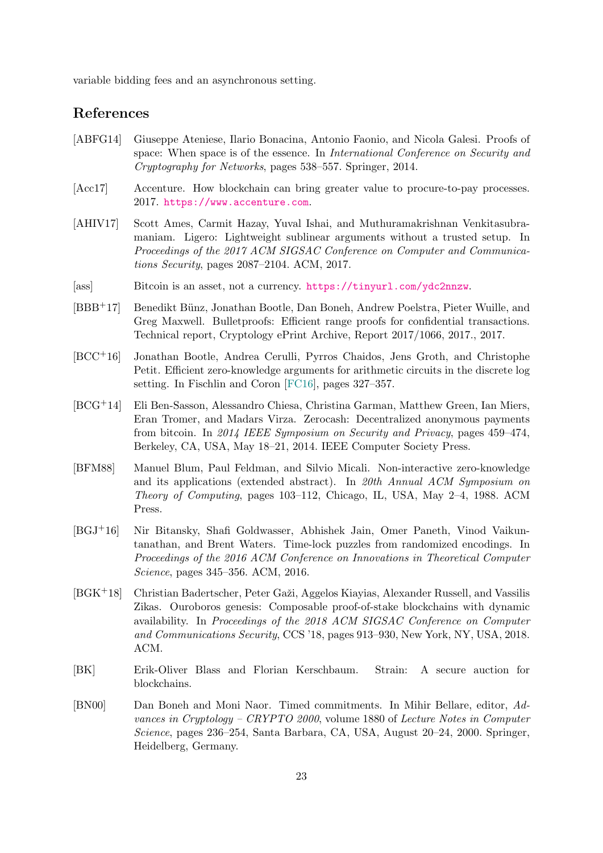variable bidding fees and an asynchronous setting.

## References

- <span id="page-24-0"></span>[ABFG14] Giuseppe Ateniese, Ilario Bonacina, Antonio Faonio, and Nicola Galesi. Proofs of space: When space is of the essence. In International Conference on Security and Cryptography for Networks, pages 538–557. Springer, 2014.
- <span id="page-24-10"></span>[Acc17] Accenture. How blockchain can bring greater value to procure-to-pay processes. 2017. <https://www.accenture.com>.
- <span id="page-24-6"></span>[AHIV17] Scott Ames, Carmit Hazay, Yuval Ishai, and Muthuramakrishnan Venkitasubramaniam. Ligero: Lightweight sublinear arguments without a trusted setup. In Proceedings of the 2017 ACM SIGSAC Conference on Computer and Communications Security, pages 2087–2104. ACM, 2017.
- <span id="page-24-1"></span>[ass] Bitcoin is an asset, not a currency. <https://tinyurl.com/ydc2nnzw>.
- <span id="page-24-8"></span>[BBB<sup>+</sup>17] Benedikt Bünz, Jonathan Bootle, Dan Boneh, Andrew Poelstra, Pieter Wuille, and Greg Maxwell. Bulletproofs: Efficient range proofs for confidential transactions. Technical report, Cryptology ePrint Archive, Report 2017/1066, 2017., 2017.
- <span id="page-24-7"></span>[BCC+16] Jonathan Bootle, Andrea Cerulli, Pyrros Chaidos, Jens Groth, and Christophe Petit. Efficient zero-knowledge arguments for arithmetic circuits in the discrete log setting. In Fischlin and Coron [\[FC16\]](#page-25-11), pages 327–357.
- <span id="page-24-5"></span>[BCG+14] Eli Ben-Sasson, Alessandro Chiesa, Christina Garman, Matthew Green, Ian Miers, Eran Tromer, and Madars Virza. Zerocash: Decentralized anonymous payments from bitcoin. In 2014 IEEE Symposium on Security and Privacy, pages 459–474, Berkeley, CA, USA, May 18–21, 2014. IEEE Computer Society Press.
- <span id="page-24-3"></span>[BFM88] Manuel Blum, Paul Feldman, and Silvio Micali. Non-interactive zero-knowledge and its applications (extended abstract). In 20th Annual ACM Symposium on Theory of Computing, pages 103–112, Chicago, IL, USA, May 2–4, 1988. ACM Press.
- <span id="page-24-11"></span>[BGJ+16] Nir Bitansky, Shafi Goldwasser, Abhishek Jain, Omer Paneth, Vinod Vaikuntanathan, and Brent Waters. Time-lock puzzles from randomized encodings. In Proceedings of the 2016 ACM Conference on Innovations in Theoretical Computer Science, pages 345–356. ACM, 2016.
- <span id="page-24-9"></span>[BGK<sup>+</sup>18] Christian Badertscher, Peter Gaži, Aggelos Kiayias, Alexander Russell, and Vassilis Zikas. Ouroboros genesis: Composable proof-of-stake blockchains with dynamic availability. In Proceedings of the 2018 ACM SIGSAC Conference on Computer and Communications Security, CCS '18, pages 913–930, New York, NY, USA, 2018. ACM.
- <span id="page-24-2"></span>[BK] Erik-Oliver Blass and Florian Kerschbaum. Strain: A secure auction for blockchains.
- <span id="page-24-4"></span>[BN00] Dan Boneh and Moni Naor. Timed commitments. In Mihir Bellare, editor, Advances in Cryptology – CRYPTO 2000, volume 1880 of Lecture Notes in Computer Science, pages 236–254, Santa Barbara, CA, USA, August 20–24, 2000. Springer, Heidelberg, Germany.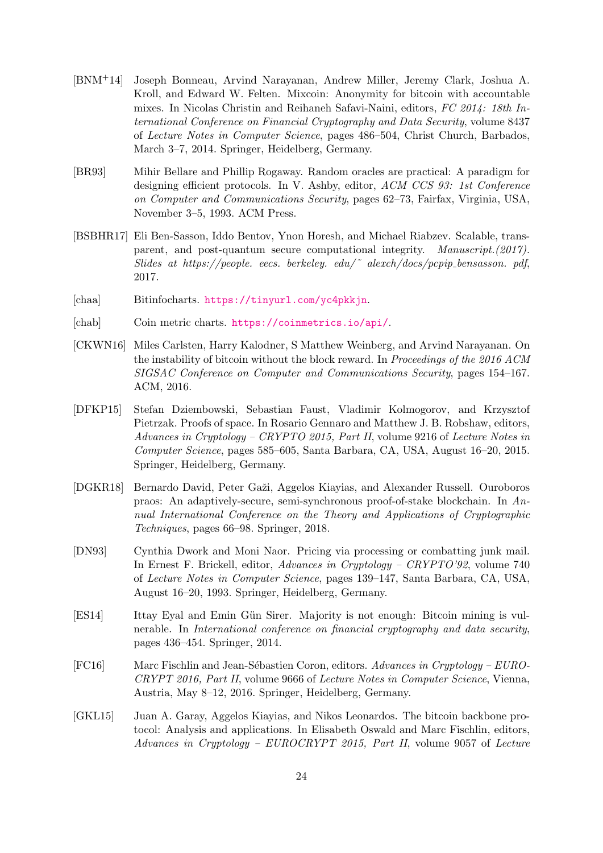- <span id="page-25-5"></span>[BNM+14] Joseph Bonneau, Arvind Narayanan, Andrew Miller, Jeremy Clark, Joshua A. Kroll, and Edward W. Felten. Mixcoin: Anonymity for bitcoin with accountable mixes. In Nicolas Christin and Reihaneh Safavi-Naini, editors, FC 2014: 18th International Conference on Financial Cryptography and Data Security, volume 8437 of Lecture Notes in Computer Science, pages 486–504, Christ Church, Barbados, March 3–7, 2014. Springer, Heidelberg, Germany.
- <span id="page-25-2"></span>[BR93] Mihir Bellare and Phillip Rogaway. Random oracles are practical: A paradigm for designing efficient protocols. In V. Ashby, editor, ACM CCS 93: 1st Conference on Computer and Communications Security, pages 62–73, Fairfax, Virginia, USA, November 3–5, 1993. ACM Press.
- <span id="page-25-6"></span>[BSBHR17] Eli Ben-Sasson, Iddo Bentov, Ynon Horesh, and Michael Riabzev. Scalable, transparent, and post-quantum secure computational integrity. Manuscript.(2017). Slides at https://people. eecs. berkeley. edu/~ alexch/docs/pcpip\_bensasson. pdf, 2017.
- <span id="page-25-4"></span>[chaa] Bitinfocharts. <https://tinyurl.com/yc4pkkjn>.
- <span id="page-25-3"></span>[chab] Coin metric charts. <https://coinmetrics.io/api/>.
- <span id="page-25-10"></span>[CKWN16] Miles Carlsten, Harry Kalodner, S Matthew Weinberg, and Arvind Narayanan. On the instability of bitcoin without the block reward. In Proceedings of the 2016 ACM SIGSAC Conference on Computer and Communications Security, pages 154–167. ACM, 2016.
- <span id="page-25-0"></span>[DFKP15] Stefan Dziembowski, Sebastian Faust, Vladimir Kolmogorov, and Krzysztof Pietrzak. Proofs of space. In Rosario Gennaro and Matthew J. B. Robshaw, editors, Advances in Cryptology – CRYPTO 2015, Part II, volume 9216 of Lecture Notes in Computer Science, pages 585–605, Santa Barbara, CA, USA, August 16–20, 2015. Springer, Heidelberg, Germany.
- <span id="page-25-8"></span>[DGKR18] Bernardo David, Peter Gaži, Aggelos Kiayias, and Alexander Russell. Ouroboros praos: An adaptively-secure, semi-synchronous proof-of-stake blockchain. In Annual International Conference on the Theory and Applications of Cryptographic Techniques, pages 66–98. Springer, 2018.
- <span id="page-25-7"></span>[DN93] Cynthia Dwork and Moni Naor. Pricing via processing or combatting junk mail. In Ernest F. Brickell, editor, Advances in Cryptology – CRYPTO'92, volume 740 of Lecture Notes in Computer Science, pages 139–147, Santa Barbara, CA, USA, August 16–20, 1993. Springer, Heidelberg, Germany.
- <span id="page-25-9"></span>[ES14] Ittay Eyal and Emin Gün Sirer. Majority is not enough: Bitcoin mining is vulnerable. In International conference on financial cryptography and data security, pages 436–454. Springer, 2014.
- <span id="page-25-11"></span>[FC16] Marc Fischlin and Jean-Sébastien Coron, editors. Advances in Cryptology –  $EURO$ -CRYPT 2016, Part II, volume 9666 of Lecture Notes in Computer Science, Vienna, Austria, May 8–12, 2016. Springer, Heidelberg, Germany.
- <span id="page-25-1"></span>[GKL15] Juan A. Garay, Aggelos Kiayias, and Nikos Leonardos. The bitcoin backbone protocol: Analysis and applications. In Elisabeth Oswald and Marc Fischlin, editors, Advances in Cryptology – EUROCRYPT 2015, Part II, volume 9057 of Lecture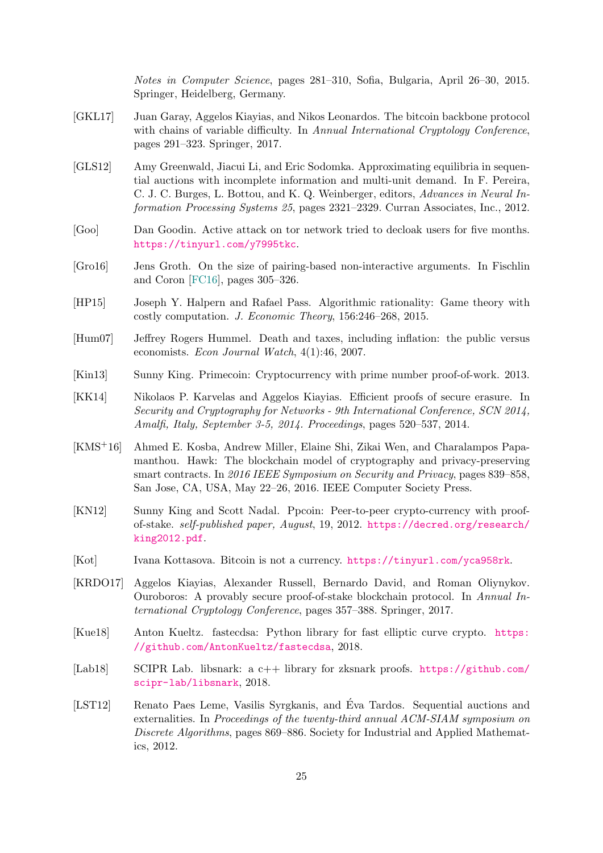Notes in Computer Science, pages 281–310, Sofia, Bulgaria, April 26–30, 2015. Springer, Heidelberg, Germany.

- <span id="page-26-5"></span>[GKL17] Juan Garay, Aggelos Kiayias, and Nikos Leonardos. The bitcoin backbone protocol with chains of variable difficulty. In Annual International Cruptology Conference, pages 291–323. Springer, 2017.
- <span id="page-26-10"></span>[GLS12] Amy Greenwald, Jiacui Li, and Eric Sodomka. Approximating equilibria in sequential auctions with incomplete information and multi-unit demand. In F. Pereira, C. J. C. Burges, L. Bottou, and K. Q. Weinberger, editors, Advances in Neural Information Processing Systems 25, pages 2321–2329. Curran Associates, Inc., 2012.
- <span id="page-26-6"></span>[Goo] Dan Goodin. Active attack on tor network tried to decloak users for five months. <https://tinyurl.com/y7995tkc>.
- <span id="page-26-13"></span>[Gro16] Jens Groth. On the size of pairing-based non-interactive arguments. In Fischlin and Coron [\[FC16\]](#page-25-11), pages 305–326.
- <span id="page-26-9"></span>[HP15] Joseph Y. Halpern and Rafael Pass. Algorithmic rationality: Game theory with costly computation. J. Economic Theory, 156:246–268, 2015.
- <span id="page-26-4"></span>[Hum07] Jeffrey Rogers Hummel. Death and taxes, including inflation: the public versus economists. Econ Journal Watch, 4(1):46, 2007.
- <span id="page-26-0"></span>[Kin13] Sunny King. Primecoin: Cryptocurrency with prime number proof-of-work. 2013.
- <span id="page-26-14"></span>[KK14] Nikolaos P. Karvelas and Aggelos Kiayias. Efficient proofs of secure erasure. In Security and Cryptography for Networks - 9th International Conference, SCN 2014, Amalfi, Italy, September 3-5, 2014. Proceedings, pages 520–537, 2014.
- <span id="page-26-7"></span>[KMS+16] Ahmed E. Kosba, Andrew Miller, Elaine Shi, Zikai Wen, and Charalampos Papamanthou. Hawk: The blockchain model of cryptography and privacy-preserving smart contracts. In 2016 IEEE Symposium on Security and Privacy, pages 839–858, San Jose, CA, USA, May 22–26, 2016. IEEE Computer Society Press.
- <span id="page-26-1"></span>[KN12] Sunny King and Scott Nadal. Ppcoin: Peer-to-peer crypto-currency with proofof-stake. self-published paper, August, 19, 2012. [https://decred.org/research/](https://decred.org/research/king2012.pdf) [king2012.pdf](https://decred.org/research/king2012.pdf).
- <span id="page-26-3"></span>[Kot] Ivana Kottasova. Bitcoin is not a currency. <https://tinyurl.com/yca958rk>.
- <span id="page-26-2"></span>[KRDO17] Aggelos Kiayias, Alexander Russell, Bernardo David, and Roman Oliynykov. Ouroboros: A provably secure proof-of-stake blockchain protocol. In Annual International Cryptology Conference, pages 357–388. Springer, 2017.
- <span id="page-26-12"></span>[Kue18] Anton Kueltz. fastecdsa: Python library for fast elliptic curve crypto. [https:](https://github.com/AntonKueltz/fastecdsa) [//github.com/AntonKueltz/fastecdsa](https://github.com/AntonKueltz/fastecdsa), 2018.
- <span id="page-26-11"></span>[Lab18] SCIPR Lab. libsnark: a c++ library for zksnark proofs. [https://github.com/](https://github.com/scipr-lab/libsnark) [scipr-lab/libsnark](https://github.com/scipr-lab/libsnark), 2018.
- <span id="page-26-8"></span>[LST12] Renato Paes Leme, Vasilis Syrgkanis, and Eva Tardos. Sequential auctions and ´ externalities. In Proceedings of the twenty-third annual ACM-SIAM symposium on Discrete Algorithms, pages 869–886. Society for Industrial and Applied Mathematics, 2012.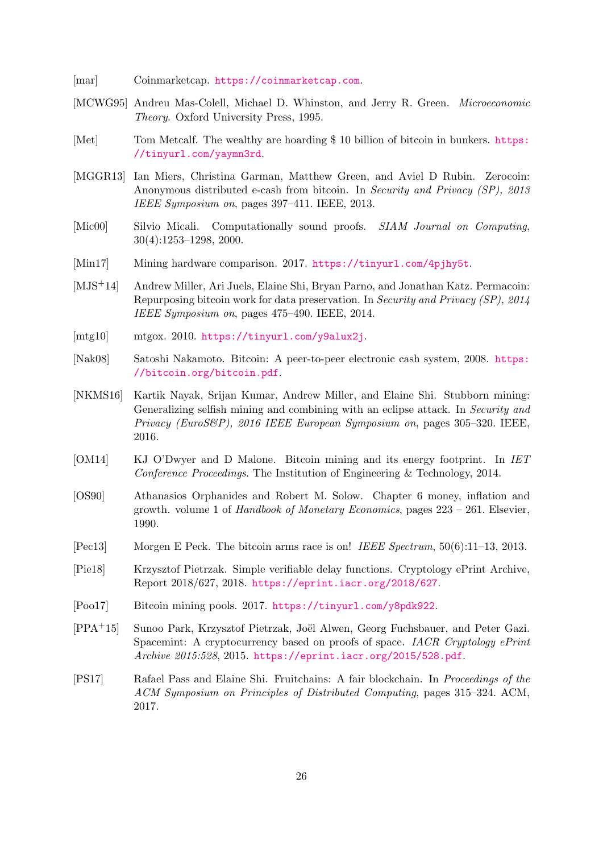- <span id="page-27-12"></span>[mar] Coinmarketcap. <https://coinmarketcap.com>.
- <span id="page-27-11"></span>[MCWG95] Andreu Mas-Colell, Michael D. Whinston, and Jerry R. Green. Microeconomic Theory. Oxford University Press, 1995.
- <span id="page-27-6"></span>[Met] Tom Metcalf. The wealthy are hoarding \$10 billion of bitcoin in bunkers. [https:](https://tinyurl.com/yaymn3rd) [//tinyurl.com/yaymn3rd](https://tinyurl.com/yaymn3rd).
- <span id="page-27-13"></span>[MGGR13] Ian Miers, Christina Garman, Matthew Green, and Aviel D Rubin. Zerocoin: Anonymous distributed e-cash from bitcoin. In Security and Privacy (SP), 2013 IEEE Symposium on, pages 397–411. IEEE, 2013.
- <span id="page-27-9"></span>[Mic00] Silvio Micali. Computationally sound proofs. SIAM Journal on Computing, 30(4):1253–1298, 2000.
- <span id="page-27-2"></span>[Min17] Mining hardware comparison. 2017. <https://tinyurl.com/4pjhy5t>.
- <span id="page-27-5"></span>[MJS+14] Andrew Miller, Ari Juels, Elaine Shi, Bryan Parno, and Jonathan Katz. Permacoin: Repurposing bitcoin work for data preservation. In Security and Privacy (SP), 2014 IEEE Symposium on, pages 475–490. IEEE, 2014.
- <span id="page-27-15"></span>[mtg10] mtgox. 2010. <https://tinyurl.com/y9alux2j>.
- <span id="page-27-0"></span>[Nak08] Satoshi Nakamoto. Bitcoin: A peer-to-peer electronic cash system, 2008. [https:](https://bitcoin.org/bitcoin.pdf) [//bitcoin.org/bitcoin.pdf](https://bitcoin.org/bitcoin.pdf).
- <span id="page-27-16"></span>[NKMS16] Kartik Nayak, Srijan Kumar, Andrew Miller, and Elaine Shi. Stubborn mining: Generalizing selfish mining and combining with an eclipse attack. In Security and Privacy (EuroS&P), 2016 IEEE European Symposium on, pages 305–320. IEEE, 2016.
- <span id="page-27-3"></span>[OM14] KJ O'Dwyer and D Malone. Bitcoin mining and its energy footprint. In IET Conference Proceedings. The Institution of Engineering & Technology, 2014.
- <span id="page-27-7"></span>[OS90] Athanasios Orphanides and Robert M. Solow. Chapter 6 money, inflation and growth. volume 1 of Handbook of Monetary Economics, pages  $223 - 261$ . Elsevier, 1990.
- <span id="page-27-1"></span>[Pec13] Morgen E Peck. The bitcoin arms race is on! IEEE Spectrum, 50(6):11–13, 2013.
- <span id="page-27-8"></span>[Pie18] Krzysztof Pietrzak. Simple verifiable delay functions. Cryptology ePrint Archive, Report 2018/627, 2018. <https://eprint.iacr.org/2018/627>.
- <span id="page-27-4"></span>[Poo17] Bitcoin mining pools. 2017. <https://tinyurl.com/y8pdk922>.
- <span id="page-27-14"></span>[PPA<sup>+</sup>15] Sunoo Park, Krzysztof Pietrzak, Joël Alwen, Georg Fuchsbauer, and Peter Gazi. Spacemint: A cryptocurrency based on proofs of space. *IACR Cryptology ePrint* Archive 2015:528, 2015. <https://eprint.iacr.org/2015/528.pdf>.
- <span id="page-27-10"></span>[PS17] Rafael Pass and Elaine Shi. Fruitchains: A fair blockchain. In Proceedings of the ACM Symposium on Principles of Distributed Computing, pages 315–324. ACM, 2017.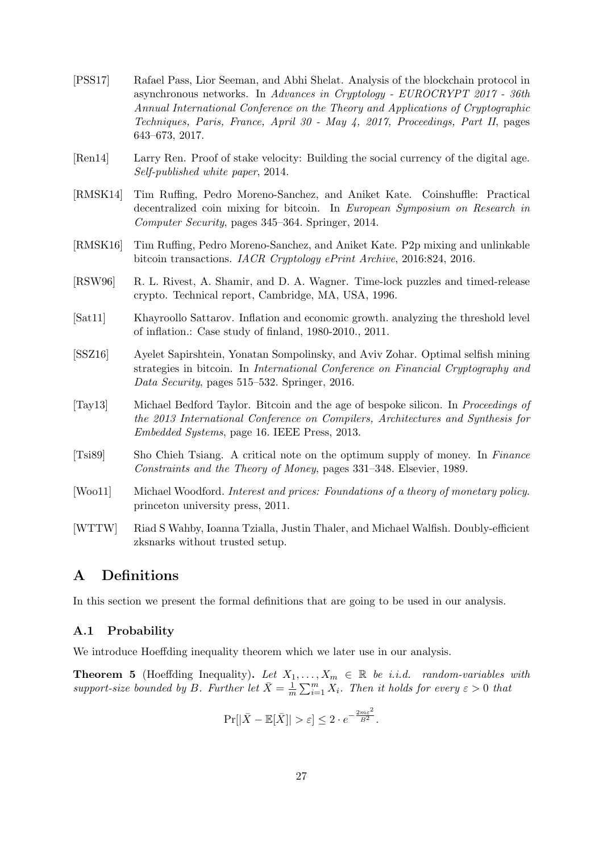- <span id="page-28-6"></span>[PSS17] Rafael Pass, Lior Seeman, and Abhi Shelat. Analysis of the blockchain protocol in asynchronous networks. In Advances in Cryptology - EUROCRYPT 2017 - 36th Annual International Conference on the Theory and Applications of Cryptographic Techniques, Paris, France, April 30 - May 4, 2017, Proceedings, Part II, pages 643–673, 2017.
- <span id="page-28-8"></span>[Ren14] Larry Ren. Proof of stake velocity: Building the social currency of the digital age. Self-published white paper, 2014.
- <span id="page-28-10"></span>[RMSK14] Tim Ruffing, Pedro Moreno-Sanchez, and Aniket Kate. Coinshuffle: Practical decentralized coin mixing for bitcoin. In European Symposium on Research in Computer Security, pages 345–364. Springer, 2014.
- <span id="page-28-9"></span>[RMSK16] Tim Ruffing, Pedro Moreno-Sanchez, and Aniket Kate. P2p mixing and unlinkable bitcoin transactions. IACR Cryptology ePrint Archive, 2016:824, 2016.
- <span id="page-28-7"></span>[RSW96] R. L. Rivest, A. Shamir, and D. A. Wagner. Time-lock puzzles and timed-release crypto. Technical report, Cambridge, MA, USA, 1996.
- <span id="page-28-4"></span>[Sat11] Khayroollo Sattarov. Inflation and economic growth. analyzing the threshold level of inflation.: Case study of finland, 1980-2010., 2011.
- <span id="page-28-12"></span>[SSZ16] Ayelet Sapirshtein, Yonatan Sompolinsky, and Aviv Zohar. Optimal selfish mining strategies in bitcoin. In International Conference on Financial Cryptography and Data Security, pages 515–532. Springer, 2016.
- <span id="page-28-2"></span>[Tay13] Michael Bedford Taylor. Bitcoin and the age of bespoke silicon. In Proceedings of the 2013 International Conference on Compilers, Architectures and Synthesis for Embedded Systems, page 16. IEEE Press, 2013.
- <span id="page-28-3"></span>[Tsi89] Sho Chieh Tsiang. A critical note on the optimum supply of money. In Finance Constraints and the Theory of Money, pages 331–348. Elsevier, 1989.
- <span id="page-28-5"></span>[Woo11] Michael Woodford. Interest and prices: Foundations of a theory of monetary policy. princeton university press, 2011.
- <span id="page-28-11"></span>[WTTW] Riad S Wahby, Ioanna Tzialla, Justin Thaler, and Michael Walfish. Doubly-efficient zksnarks without trusted setup.

# <span id="page-28-0"></span>A Definitions

In this section we present the formal definitions that are going to be used in our analysis.

## <span id="page-28-1"></span>A.1 Probability

We introduce Hoeffding inequality theorem which we later use in our analysis.

<span id="page-28-13"></span>**Theorem 5** (Hoeffding Inequality). Let  $X_1, \ldots, X_m \in \mathbb{R}$  be *i.i.d.* random-variables with support-size bounded by B. Further let  $\bar{X} = \frac{1}{n}$  $\frac{1}{m}\sum_{i=1}^{m} X_i$ . Then it holds for every  $\varepsilon > 0$  that

$$
\Pr[|\bar{X} - \mathbb{E}[\bar{X}]| > \varepsilon] \le 2 \cdot e^{-\frac{2m\varepsilon^2}{B^2}}.
$$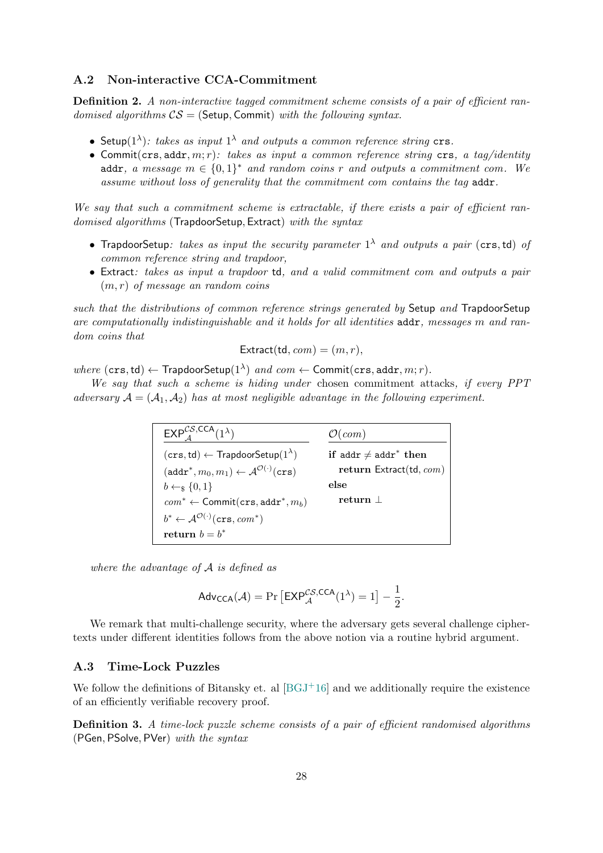## <span id="page-29-0"></span>A.2 Non-interactive CCA-Commitment

Definition 2. A non-interactive tagged commitment scheme consists of a pair of efficient randomised algorithms  $CS = (Setup, Commit)$  with the following syntax.

- Setup( $1^{\lambda}$ ): takes as input  $1^{\lambda}$  and outputs a common reference string crs.
- Commit(crs, addr, m; r): takes as input a common reference string crs, a tag/identity addr, a message  $m \in \{0,1\}^*$  and random coins r and outputs a commitment com. We assume without loss of generality that the commitment com contains the tag addr.

We say that such a commitment scheme is extractable, if there exists a pair of efficient randomised algorithms (TrapdoorSetup, Extract) with the syntax

- TrapdoorSetup: takes as input the security parameter  $1^{\lambda}$  and outputs a pair (crs, td) of common reference string and trapdoor,
- Extract: takes as input a trapdoor td, and a valid commitment com and outputs a pair  $(m, r)$  of message an random coins

such that the distributions of common reference strings generated by Setup and TrapdoorSetup are computationally indistinguishable and it holds for all identities addr, messages m and random coins that

$$
Extract(td, com)=(m,r),
$$

where  $(crs, td) \leftarrow TrapdoorSetup(1^{\lambda})$  and  $com \leftarrow Commit(crs, addr, m; r)$ .

We say that such a scheme is hiding under chosen commitment attacks, if every PPT adversary  $A = (A_1, A_2)$  has at most negligible advantage in the following experiment.

| $EXP_{A}^{\mathcal{CS},\mathsf{CCA}}(1^{\lambda})$                                  | $\mathcal{O}(com)$                    |
|-------------------------------------------------------------------------------------|---------------------------------------|
| $(crs, td) \leftarrow TrapdoorSetup(1^{\lambda})$                                   | if addr $\neq$ addr <sup>*</sup> then |
| $(\text{addr}^*, m_0, m_1) \leftarrow \mathcal{A}^{\mathcal{O}(\cdot)}(\text{crs})$ | return $Extract(td, com)$             |
| $b \leftarrow_s \{0,1\}$                                                            | else                                  |
| $com^* \leftarrow$ Commit $(crs, addr^*, m_b)$                                      | return                                |
| $b^* \leftarrow \mathcal{A}^{\mathcal{O}(\cdot)}(\text{crs}, \text{com}^*)$         |                                       |
| return $b = b^*$                                                                    |                                       |

where the advantage of A is defined as

$$
\mathsf{Adv_{CCA}}(\mathcal{A}) = \Pr\left[\mathsf{EXP}^{\mathcal{CS},\mathsf{CCA}}_{\mathcal{A}}(1^{\lambda}) = 1\right] - \frac{1}{2}.
$$

We remark that multi-challenge security, where the adversary gets several challenge ciphertexts under different identities follows from the above notion via a routine hybrid argument.

## <span id="page-29-1"></span>A.3 Time-Lock Puzzles

We follow the definitions of Bitansky et. al  $[BGJ^+16]$  and we additionally require the existence of an efficiently verifiable recovery proof.

Definition 3. A time-lock puzzle scheme consists of a pair of efficient randomised algorithms (PGen, PSolve, PVer) with the syntax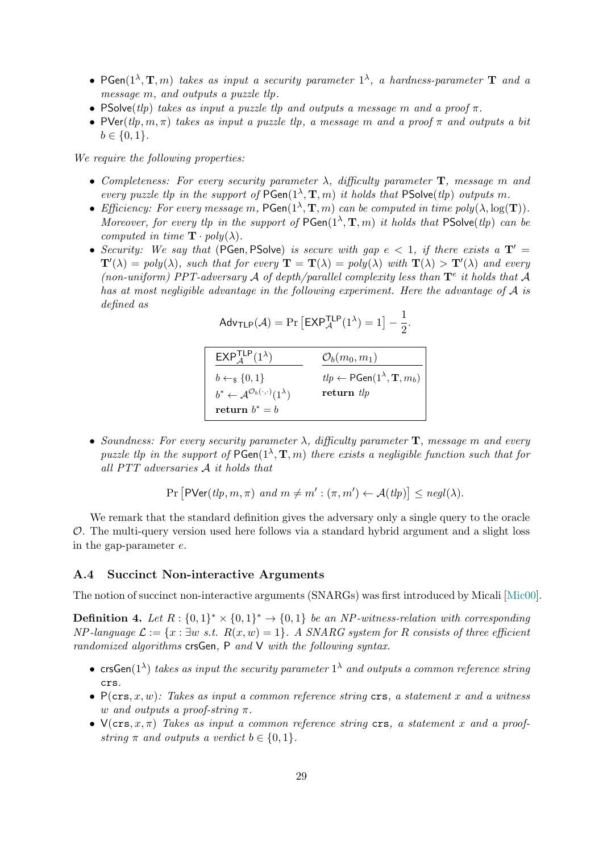- PGen( $1^{\lambda}, \mathbf{T}, m$ ) takes as input a security parameter  $1^{\lambda}$ , a hardness-parameter **T** and a message m, and outputs a puzzle tlp.
- PSolve(tlp) takes as input a puzzle tlp and outputs a message m and a proof  $\pi$ .
- PVer(tlp,  $m, \pi$ ) takes as input a puzzle tlp, a message m and a proof  $\pi$  and outputs a bit  $b \in \{0, 1\}.$

We require the following properties:

- Completeness: For every security parameter  $\lambda$ , difficulty parameter **T**, message m and every puzzle tlp in the support of  $PGen(1^{\lambda}, T, m)$  it holds that  $PSolve(tlp)$  outputs m.
- Efficiency: For every message m,  $\mathsf{PGen}(1^\lambda,\mathbf{T},m)$  can be computed in time  $poly(\lambda,\log(\mathbf{T}))$ . Moreover, for every tlp in the support of  $\mathsf{PGen}(1^\lambda,\mathbf{T},m)$  it holds that  $\mathsf{PSolve}(tlp)$  can be computed in time  $\mathbf{T} \cdot \text{poly}(\lambda)$ .
- Security: We say that (PGen, PSolve) is secure with gap  $e < 1$ , if there exists a  $T' =$  $\mathbf{T}'(\lambda) = poly(\lambda)$ , such that for every  $\mathbf{T} = \mathbf{T}(\lambda) = poly(\lambda)$  with  $\mathbf{T}(\lambda) > \mathbf{T}'(\lambda)$  and every (non-uniform) PPT-adversary A of depth/parallel complexity less than  $T<sup>e</sup>$  it holds that A has at most negligible advantage in the following experiment. Here the advantage of A is defined as

$$
\mathsf{Adv}_{\mathsf{TLP}}(\mathcal{A}) = \Pr\left[\mathsf{EXP}_{\mathcal{A}}^{\mathsf{TLP}}(1^{\lambda}) = 1\right] - \frac{1}{2}.
$$

| $EXP_{\mathcal{A}}^{\mathsf{TLP}}(1^{\lambda})$                        | $\mathcal{O}_b(m_0,m_1)$                                     |
|------------------------------------------------------------------------|--------------------------------------------------------------|
| $b \leftarrow_s \{0,1\}$                                               | $tlp \leftarrow \mathsf{PGen}(1^{\lambda}, \mathbf{T}, m_b)$ |
| $b^* \leftarrow \mathcal{A}^{\mathcal{O}_b(\cdot,\cdot)}(1^{\lambda})$ | return $tlp$                                                 |
| return $b^* = b$                                                       |                                                              |

• Soundness: For every security parameter  $\lambda$ , difficulty parameter **T**, message m and every puzzle tlp in the support of  $\mathsf{PGen}(1^\lambda,\mathbf{T},m)$  there exists a negligible function such that for all PTT adversaries A it holds that

$$
\Pr[\text{PVer}(tlp, m, \pi) \text{ and } m \neq m': (\pi, m') \leftarrow \mathcal{A}(tlp)] \leq \text{negl}(\lambda).
$$

We remark that the standard definition gives the adversary only a single query to the oracle  $\mathcal O$ . The multi-query version used here follows via a standard hybrid argument and a slight loss in the gap-parameter e.

### <span id="page-30-0"></span>A.4 Succinct Non-interactive Arguments

The notion of succinct non-interactive arguments (SNARGs) was first introduced by Micali [\[Mic00\]](#page-27-9).

**Definition 4.** Let  $R: \{0,1\}^* \times \{0,1\}^* \rightarrow \{0,1\}$  be an NP-witness-relation with corresponding  $NP$ -language  $\mathcal{L} := \{x : \exists w \text{ s.t. } R(x, w) = 1\}$ . A SNARG system for R consists of three efficient randomized algorithms crsGen, P and V with the following syntax.

- crsGen( $1^{\lambda}$ ) takes as input the security parameter  $1^{\lambda}$  and outputs a common reference string crs.
- $P(crs, x, w)$ : Takes as input a common reference string crs, a statement x and a witness w and outputs a proof-string  $\pi$ .
- $V(crs, x, \pi)$  Takes as input a common reference string crs, a statement x and a proofstring  $\pi$  and outputs a verdict  $b \in \{0, 1\}$ .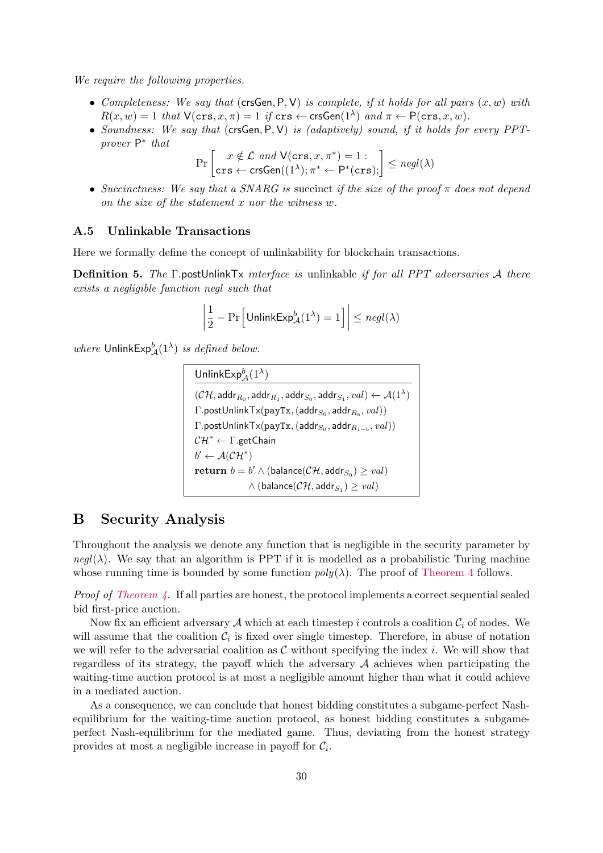We require the following properties.

- Completeness: We say that  $(crsGen, P, V)$  is complete, if it holds for all pairs  $(x, w)$  with  $R(x, w) = 1$  that  $\mathsf{V}(\texttt{crs}, x, \pi) = 1$  if  $\texttt{crs} \leftarrow \texttt{crsGen}(1^{\lambda})$  and  $\pi \leftarrow \mathsf{P}(\texttt{crs}, x, w)$ .
- Soundness: We say that (crsGen, P, V) is (adaptively) sound, if it holds for every PPTprover  $P^*$  that

$$
\Pr\left[\mathit{ex\notin\mathcal{L} \ and \ V(\mathit{crs},x,\pi^*)=1:}\right] \leq \mathit{negl}(\lambda) \\ \text{crs} \leftarrow \mathit{crsGen}((1^{\lambda});\pi^* \leftarrow P^*(\mathit{crs}); \right] \leq \mathit{negl}(\lambda)
$$

• Succinctness: We say that a SNARG is succinct if the size of the proof  $\pi$  does not depend on the size of the statement x nor the witness w.

### <span id="page-31-0"></span>A.5 Unlinkable Transactions

Here we formally define the concept of unlinkability for blockchain transactions.

Definition 5. The Γ.postUnlinkTx interface is unlinkable if for all PPT adversaries A there exists a negligible function negl such that

$$
\left|\frac{1}{2} - \Pr\left[\mathsf{UnlinkExp}_{\mathcal{A}}^b(1^{\lambda}) = 1\right]\right| \leq \mathit{negl}(\lambda)
$$

where  $\text{UnlinkExp}_{\mathcal{A}}^b(1^{\lambda})$  is defined below.

Unlink $\text{Exp}_{\mathcal{A}}^b(1^\lambda)$  $(\mathcal{CH}, \mathsf{addr}_{R_0}, \mathsf{addr}_{R_1}, \mathsf{addr}_{S_0}, \mathsf{addr}_{S_1}, \mathit{val}) \leftarrow \mathcal{A}(1^\lambda)$  $\Gamma.$ post $\mathsf{UnlinkTx}(\mathtt{payTx},(\mathsf{addr}_{S_0},\mathsf{addr}_{R_b},\mathit{val}))$  $\Gamma.$ postUnlink $\mathsf{Tx}(\mathtt{payTx},(\mathsf{addr}_{S_0},\mathsf{addr}_{R_{1-b}},\mathit{val}))$  $\mathcal{CH}^* \leftarrow \Gamma$ .getChain  $b' \leftarrow \mathcal{A}(\mathcal{CH}^*)$  $\textbf{return } b = b' \wedge (\textsf{balance}(\mathcal{CH},\textsf{addr}_{S_0}) \geq val)$  $\wedge$  (balance $(\mathcal{CH}, \mathsf{addr}_{S_1}) \geq \mathit{val})$ 

# <span id="page-31-1"></span>B Security Analysis

Throughout the analysis we denote any function that is negligible in the security parameter by  $negl(\lambda)$ . We say that an algorithm is PPT if it is modelled as a probabilistic Turing machine whose running time is bounded by some function  $poly(\lambda)$ . The proof of [Theorem 4](#page-18-1) follows.

*Proof of [Theorem 4.](#page-18-1)* If all parties are honest, the protocol implements a correct sequential sealed bid first-price auction.

Now fix an efficient adversary  $A$  which at each timestep i controls a coalition  $C_i$  of nodes. We will assume that the coalition  $\mathcal{C}_i$  is fixed over single timestep. Therefore, in abuse of notation we will refer to the adversarial coalition as  $\mathcal C$  without specifying the index i. We will show that regardless of its strategy, the payoff which the adversary  $A$  achieves when participating the waiting-time auction protocol is at most a negligible amount higher than what it could achieve in a mediated auction.

As a consequence, we can conclude that honest bidding constitutes a subgame-perfect Nashequilibrium for the waiting-time auction protocol, as honest bidding constitutes a subgameperfect Nash-equilibrium for the mediated game. Thus, deviating from the honest strategy provides at most a negligible increase in payoff for  $C_i$ .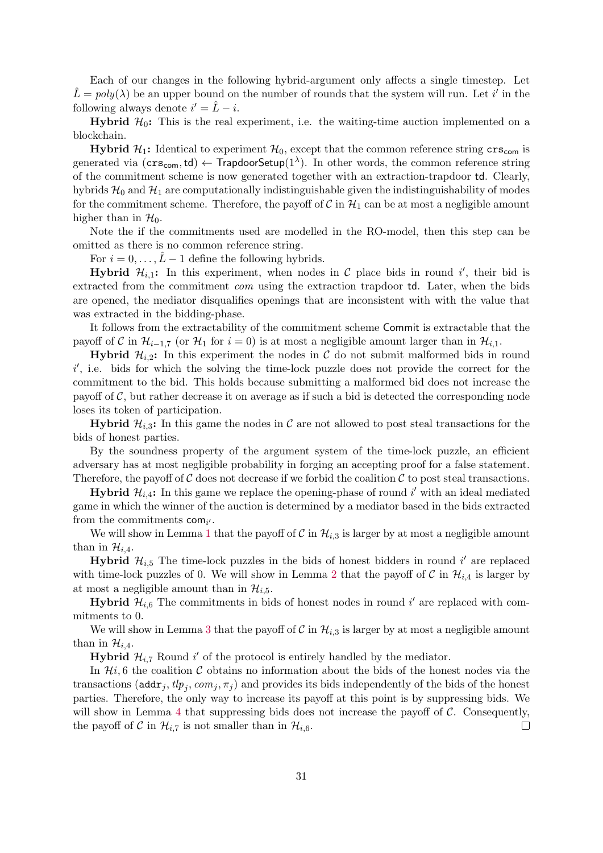Each of our changes in the following hybrid-argument only affects a single timestep. Let  $\hat{L} = poly(\lambda)$  be an upper bound on the number of rounds that the system will run. Let i' in the following always denote  $i' = \hat{L} - i$ .

**Hybrid**  $\mathcal{H}_0$ : This is the real experiment, i.e. the waiting-time auction implemented on a blockchain.

**Hybrid**  $\mathcal{H}_1$ : Identical to experiment  $\mathcal{H}_0$ , except that the common reference string  $\text{crs}_{\text{com}}$  is generated via  $(crs_{com}, td) \leftarrow$  TrapdoorSetup(1<sup> $\lambda$ </sup>). In other words, the common reference string of the commitment scheme is now generated together with an extraction-trapdoor td. Clearly, hybrids  $\mathcal{H}_0$  and  $\mathcal{H}_1$  are computationally indistinguishable given the indistinguishability of modes for the commitment scheme. Therefore, the payoff of  $C$  in  $H_1$  can be at most a negligible amount higher than in  $\mathcal{H}_0$ .

Note the if the commitments used are modelled in the RO-model, then this step can be omitted as there is no common reference string.

For  $i = 0, \ldots, L-1$  define the following hybrids.

**Hybrid**  $\mathcal{H}_{i,1}$ : In this experiment, when nodes in C place bids in round i', their bid is extracted from the commitment com using the extraction trapdoor td. Later, when the bids are opened, the mediator disqualifies openings that are inconsistent with with the value that was extracted in the bidding-phase.

It follows from the extractability of the commitment scheme Commit is extractable that the payoff of C in  $\mathcal{H}_{i-1,7}$  (or  $\mathcal{H}_1$  for  $i = 0$ ) is at most a negligible amount larger than in  $\mathcal{H}_{i,1}$ .

**Hybrid**  $\mathcal{H}_{i,2}$ : In this experiment the nodes in C do not submit malformed bids in round i', i.e. bids for which the solving the time-lock puzzle does not provide the correct for the commitment to the bid. This holds because submitting a malformed bid does not increase the payoff of  $\mathcal{C}$ , but rather decrease it on average as if such a bid is detected the corresponding node loses its token of participation.

**Hybrid**  $\mathcal{H}_{i,3}$ : In this game the nodes in C are not allowed to post steal transactions for the bids of honest parties.

By the soundness property of the argument system of the time-lock puzzle, an efficient adversary has at most negligible probability in forging an accepting proof for a false statement. Therefore, the payoff of  $C$  does not decrease if we forbid the coalition  $C$  to post steal transactions.

**Hybrid**  $\mathcal{H}_{i,4}$ : In this game we replace the opening-phase of round i' with an ideal mediated game in which the winner of the auction is determined by a mediator based in the bids extracted from the commitments  $com_{i'}$ .

We will show in Lemma [1](#page-33-0) that the payoff of C in  $\mathcal{H}_{i,3}$  is larger by at most a negligible amount than in  $\mathcal{H}_{i,4}$ .

**Hybrid**  $\mathcal{H}_{i,5}$  The time-lock puzzles in the bids of honest bidders in round i' are replaced with time-lock puzzles of 0. We will show in Lemma [2](#page-33-1) that the payoff of C in  $\mathcal{H}_{i,4}$  is larger by at most a negligible amount than in  $\mathcal{H}_{i,5}$ .

**Hybrid**  $\mathcal{H}_{i,6}$  The commitments in bids of honest nodes in round i' are replaced with commitments to 0.

We will show in Lemma [3](#page-34-0) that the payoff of C in  $\mathcal{H}_{i,3}$  is larger by at most a negligible amount than in  $\mathcal{H}_{i,4}$ .

**Hybrid**  $\mathcal{H}_{i,7}$  Round i' of the protocol is entirely handled by the mediator.

In  $\mathcal{H}i$ , 6 the coalition C obtains no information about the bids of the honest nodes via the transactions  $(\text{addr}_j, \text{tlp}_j, \text{com}_j, \pi_j)$  and provides its bids independently of the bids of the honest parties. Therefore, the only way to increase its payoff at this point is by suppressing bids. We will show in Lemma [4](#page-35-0) that suppressing bids does not increase the payoff of  $\mathcal C$ . Consequently, the payoff of C in  $\mathcal{H}_{i,7}$  is not smaller than in  $\mathcal{H}_{i,6}$ .  $\Box$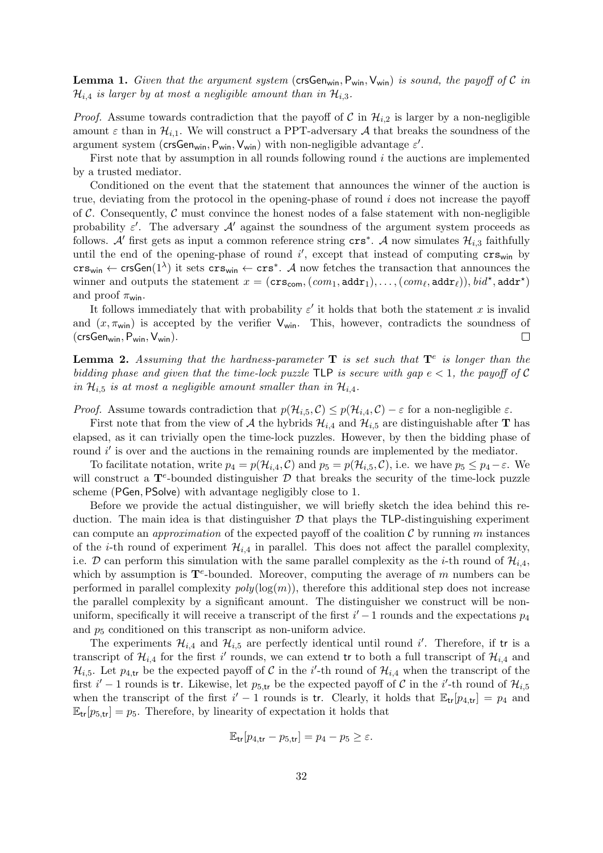<span id="page-33-0"></span>**Lemma 1.** Given that the argument system (crsGen<sub>win</sub>,  $P_{win}$ ,  $V_{win}$ ) is sound, the payoff of C in  $\mathcal{H}_{i,4}$  is larger by at most a negligible amount than in  $\mathcal{H}_{i,3}$ .

*Proof.* Assume towards contradiction that the payoff of C in  $\mathcal{H}_{i,2}$  is larger by a non-negligible amount  $\varepsilon$  than in  $\mathcal{H}_{i,1}$ . We will construct a PPT-adversary A that breaks the soundness of the argument system (crsGen<sub>win</sub>, P<sub>win</sub>, V<sub>win</sub>) with non-negligible advantage  $\varepsilon'$ .

First note that by assumption in all rounds following round i the auctions are implemented by a trusted mediator.

Conditioned on the event that the statement that announces the winner of the auction is true, deviating from the protocol in the opening-phase of round  $i$  does not increase the payoff of C. Consequently, C must convince the honest nodes of a false statement with non-negligible probability  $\varepsilon'$ . The adversary  $\mathcal{A}'$  against the soundness of the argument system proceeds as follows. A' first gets as input a common reference string  $\text{crs}^*$ . A now simulates  $\mathcal{H}_{i,3}$  faithfully until the end of the opening-phase of round  $i'$ , except that instead of computing  $\mathsf{crs}_{\mathsf{win}}$  by crs<sub>win</sub>  $\leftarrow$  crsGen(1<sup> $\lambda$ </sup>) it sets crs<sub>win</sub>  $\leftarrow$  crs<sup>\*</sup>. A now fetches the transaction that announces the winner and outputs the statement  $x = (crs_{com}, (com_1, addr_1), \ldots, (com_\ell, addr_\ell)), bid^{\star}, addr^{\star})$ and proof  $\pi_{\text{win}}$ .

It follows immediately that with probability  $\varepsilon'$  it holds that both the statement x is invalid and  $(x, \pi_{\text{win}})$  is accepted by the verifier  $V_{\text{win}}$ . This, however, contradicts the soundness of  $(crsGen_{win}, P_{win}, V_{win})$ .  $\Box$ 

<span id="page-33-1"></span>**Lemma 2.** Assuming that the hardness-parameter  $T$  is set such that  $T<sup>e</sup>$  is longer than the bidding phase and given that the time-lock puzzle TLP is secure with gap  $e < 1$ , the payoff of C in  $\mathcal{H}_{i,5}$  is at most a negligible amount smaller than in  $\mathcal{H}_{i,4}$ .

*Proof.* Assume towards contradiction that  $p(\mathcal{H}_{i,5}, \mathcal{C}) \leq p(\mathcal{H}_{i,4}, \mathcal{C}) - \varepsilon$  for a non-negligible  $\varepsilon$ .

First note that from the view of A the hybrids  $\mathcal{H}_{i,4}$  and  $\mathcal{H}_{i,5}$  are distinguishable after T has elapsed, as it can trivially open the time-lock puzzles. However, by then the bidding phase of round  $i'$  is over and the auctions in the remaining rounds are implemented by the mediator.

To facilitate notation, write  $p_4 = p(\mathcal{H}_{i,4}, \mathcal{C})$  and  $p_5 = p(\mathcal{H}_{i,5}, \mathcal{C})$ , i.e. we have  $p_5 \leq p_4 - \varepsilon$ . We will construct a  $\mathbf{T}^e$ -bounded distinguisher  $\mathcal D$  that breaks the security of the time-lock puzzle scheme (PGen, PSolve) with advantage negligibly close to 1.

Before we provide the actual distinguisher, we will briefly sketch the idea behind this reduction. The main idea is that distinguisher  $\mathcal D$  that plays the TLP-distinguishing experiment can compute an *approximation* of the expected payoff of the coalition  $\mathcal C$  by running m instances of the *i*-th round of experiment  $\mathcal{H}_{i,4}$  in parallel. This does not affect the parallel complexity, i.e. D can perform this simulation with the same parallel complexity as the *i*-th round of  $\mathcal{H}_{i,4}$ , which by assumption is  $\mathbf{T}^e$ -bounded. Moreover, computing the average of m numbers can be performed in parallel complexity  $poly(log(m))$ , therefore this additional step does not increase the parallel complexity by a significant amount. The distinguisher we construct will be nonuniform, specifically it will receive a transcript of the first  $i' - 1$  rounds and the expectations  $p_4$ and  $p_5$  conditioned on this transcript as non-uniform advice.

The experiments  $\mathcal{H}_{i,4}$  and  $\mathcal{H}_{i,5}$  are perfectly identical until round i'. Therefore, if tr is a transcript of  $\mathcal{H}_{i,4}$  for the first i' rounds, we can extend tr to both a full transcript of  $\mathcal{H}_{i,4}$  and  $\mathcal{H}_{i,5}$ . Let  $p_{4,\text{tr}}$  be the expected payoff of C in the i'-th round of  $\mathcal{H}_{i,4}$  when the transcript of the first  $i'-1$  rounds is tr. Likewise, let  $p_{5,\text{tr}}$  be the expected payoff of C in the i'-th round of  $\mathcal{H}_{i,5}$ when the transcript of the first  $i' - 1$  rounds is tr. Clearly, it holds that  $\mathbb{E}_{tr}[p_{4, tr}] = p_4$  and  $\mathbb{E}_{tr}[p_{5,tr}] = p_5$ . Therefore, by linearity of expectation it holds that

$$
\mathbb{E}_{\text{tr}}[p_{4,\text{tr}}-p_{5,\text{tr}}]=p_4-p_5\geq\varepsilon.
$$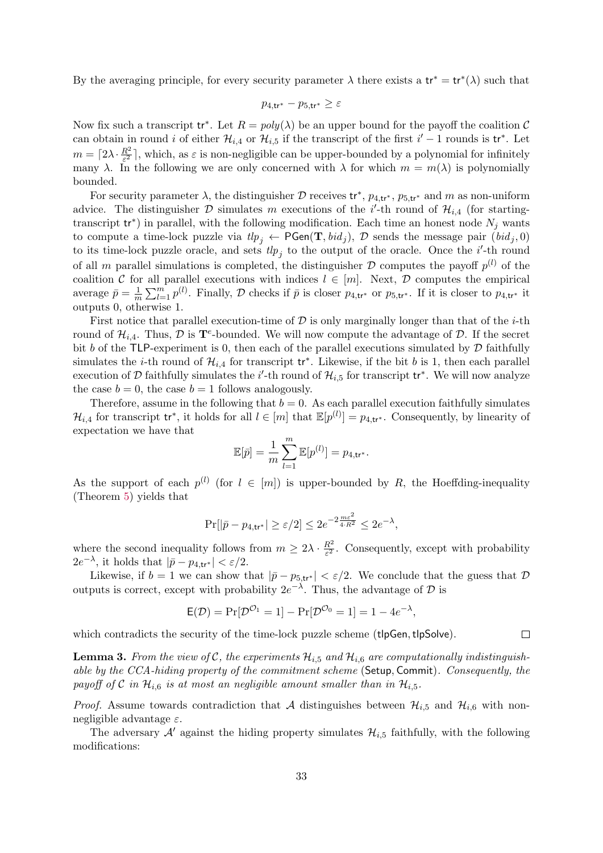By the averaging principle, for every security parameter  $\lambda$  there exists a  $tr^* = tr^*(\lambda)$  such that

$$
p_{4,\mathsf{tr}^*} - p_{5,\mathsf{tr}^*} \geq \varepsilon
$$

Now fix such a transcript tr<sup>\*</sup>. Let  $R = poly(\lambda)$  be an upper bound for the payoff the coalition C can obtain in round i of either  $\mathcal{H}_{i,4}$  or  $\mathcal{H}_{i,5}$  if the transcript of the first i' – 1 rounds is tr<sup>\*</sup>. Let  $m = \left[2\lambda \cdot \frac{R^2}{\epsilon^2}\right]$  $\frac{R^2}{\varepsilon^2}$ , which, as  $\varepsilon$  is non-negligible can be upper-bounded by a polynomial for infinitely many  $\lambda$ . In the following we are only concerned with  $\lambda$  for which  $m = m(\lambda)$  is polynomially bounded.

For security parameter  $\lambda$ , the distinguisher D receives  $tr^*$ ,  $p_{4,tr^*}$ ,  $p_{5,tr^*}$  and m as non-uniform advice. The distinguisher  $\mathcal D$  simulates m executions of the *i*'-th round of  $\mathcal H_{i,4}$  (for startingtranscript  $tr^*$ ) in parallel, with the following modification. Each time an honest node  $N_j$  wants to compute a time-lock puzzle via  $tlp_j \leftarrow \mathsf{PGen}(T, bid_j)$ ,  $\mathcal D$  sends the message pair  $(bid_j, 0)$ to its time-lock puzzle oracle, and sets  $tlp_j$  to the output of the oracle. Once the *i*'-th round of all m parallel simulations is completed, the distinguisher  $D$  computes the payoff  $p^{(l)}$  of the coalition C for all parallel executions with indices  $l \in [m]$ . Next, D computes the empirical average  $\bar{p} = \frac{1}{n}$  $\frac{1}{m}\sum_{l=1}^m p^{(l)}$ . Finally, D checks if  $\bar{p}$  is closer  $p_{4,\text{tr}^*}$  or  $p_{5,\text{tr}^*}$ . If it is closer to  $p_{4,\text{tr}^*}$  it outputs 0, otherwise 1.

First notice that parallel execution-time of  $\mathcal D$  is only marginally longer than that of the *i*-th round of  $\mathcal{H}_{i,4}$ . Thus,  $\mathcal{D}$  is  $\mathbf{T}^e$ -bounded. We will now compute the advantage of  $\mathcal{D}$ . If the secret bit b of the TLP-experiment is 0, then each of the parallel executions simulated by  $D$  faithfully simulates the *i*-th round of  $\mathcal{H}_{i,4}$  for transcript tr<sup>\*</sup>. Likewise, if the bit b is 1, then each parallel execution of D faithfully simulates the i'-th round of  $\mathcal{H}_{i,5}$  for transcript tr\*. We will now analyze the case  $b = 0$ , the case  $b = 1$  follows analogously.

Therefore, assume in the following that  $b = 0$ . As each parallel execution faithfully simulates  $\mathcal{H}_{i,4}$  for transcript tr<sup>\*</sup>, it holds for all  $l \in [m]$  that  $\mathbb{E}[p^{(l)}] = p_{4,\text{tr}^*}$ . Consequently, by linearity of expectation we have that

$$
\mathbb{E}[\bar{p}] = \frac{1}{m} \sum_{l=1}^{m} \mathbb{E}[p^{(l)}] = p_{4,\mathsf{tr}^*}.
$$

As the support of each  $p^{(l)}$  (for  $l \in [m]$ ) is upper-bounded by R, the Hoeffding-inequality (Theorem [5\)](#page-28-13) yields that

$$
\Pr[|\bar{p} - p_{4,\text{tr}^*}| \ge \varepsilon/2] \le 2e^{-2\frac{m\varepsilon^2}{4 \cdot R^2}} \le 2e^{-\lambda},
$$

where the second inequality follows from  $m \geq 2\lambda \cdot \frac{R^2}{\epsilon^2}$  $rac{R^2}{\varepsilon^2}$ . Consequently, except with probability  $2e^{-\lambda}$ , it holds that  $|\bar{p}-p_{4,\text{tr}^*}| < \varepsilon/2$ .

Likewise, if  $b = 1$  we can show that  $|\bar{p} - p_{5,\text{tr}^*}| < \varepsilon/2$ . We conclude that the guess that  $\mathcal{D}$ outputs is correct, except with probability  $2e^{-\lambda}$ . Thus, the advantage of  $\mathcal D$  is

$$
\mathsf{E}(\mathcal{D}) = \Pr[\mathcal{D}^{\mathcal{O}_1} = 1] - \Pr[\mathcal{D}^{\mathcal{O}_0} = 1] = 1 - 4e^{-\lambda},
$$

which contradicts the security of the time-lock puzzle scheme (tlpGen, tlpSolve).

<span id="page-34-0"></span>**Lemma 3.** From the view of C, the experiments  $\mathcal{H}_{i,5}$  and  $\mathcal{H}_{i,6}$  are computationally indistinguishable by the CCA-hiding property of the commitment scheme (Setup, Commit). Consequently, the payoff of C in  $\mathcal{H}_{i,6}$  is at most an negligible amount smaller than in  $\mathcal{H}_{i,5}$ .

*Proof.* Assume towards contradiction that A distinguishes between  $\mathcal{H}_{i,5}$  and  $\mathcal{H}_{i,6}$  with nonnegligible advantage  $\varepsilon$ .

The adversary  $\mathcal{A}'$  against the hiding property simulates  $\mathcal{H}_{i,5}$  faithfully, with the following modifications:

 $\Box$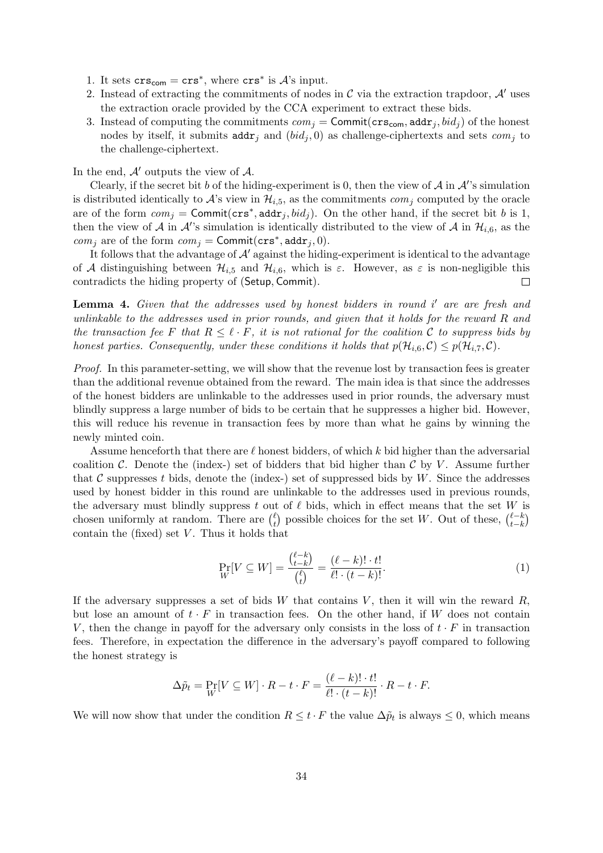- 1. It sets  $\text{crs}_{\text{com}} = \text{crs}^*$ , where  $\text{crs}^*$  is  $\mathcal{A}$ 's input.
- 2. Instead of extracting the commitments of nodes in  $\mathcal C$  via the extraction trapdoor,  $\mathcal A'$  uses the extraction oracle provided by the CCA experiment to extract these bids.
- 3. Instead of computing the commitments  $com_j = \text{Commit}(\text{crs}_{com}, \text{addr}_j, bid_j)$  of the honest nodes by itself, it submits  $\text{addr}_j$  and  $(bid_j, 0)$  as challenge-ciphertexts and sets com<sub>j</sub> to the challenge-ciphertext.

In the end,  $\mathcal{A}'$  outputs the view of  $\mathcal{A}$ .

Clearly, if the secret bit b of the hiding-experiment is 0, then the view of  $A$  in  $A'$ 's simulation is distributed identically to  $\mathcal{A}$ 's view in  $\mathcal{H}_{i,5}$ , as the commitments  $com_i$  computed by the oracle are of the form  $com_j = \text{Commit}(\text{crs}^*, \text{addr}_j, bid_j)$ . On the other hand, if the secret bit b is 1, then the view of A in  $\mathcal{A}'$ 's simulation is identically distributed to the view of A in  $\mathcal{H}_{i,6}$ , as the  $com_j$  are of the form  $com_j =$  Commit $(crs^*, addr_j, 0)$ .

It follows that the advantage of  $A'$  against the hiding-experiment is identical to the advantage of A distinguishing between  $\mathcal{H}_{i,5}$  and  $\mathcal{H}_{i,6}$ , which is  $\varepsilon$ . However, as  $\varepsilon$  is non-negligible this contradicts the hiding property of (Setup, Commit).  $\Box$ 

<span id="page-35-0"></span>**Lemma 4.** Given that the addresses used by honest bidders in round  $i'$  are are fresh and unlinkable to the addresses used in prior rounds, and given that it holds for the reward R and the transaction fee F that  $R \leq \ell \cdot F$ , it is not rational for the coalition C to suppress bids by honest parties. Consequently, under these conditions it holds that  $p(\mathcal{H}_{i,6}, \mathcal{C}) \leq p(\mathcal{H}_{i,7}, \mathcal{C})$ .

Proof. In this parameter-setting, we will show that the revenue lost by transaction fees is greater than the additional revenue obtained from the reward. The main idea is that since the addresses of the honest bidders are unlinkable to the addresses used in prior rounds, the adversary must blindly suppress a large number of bids to be certain that he suppresses a higher bid. However, this will reduce his revenue in transaction fees by more than what he gains by winning the newly minted coin.

Assume henceforth that there are  $\ell$  honest bidders, of which k bid higher than the adversarial coalition C. Denote the (index-) set of bidders that bid higher than C by V. Assume further that C suppresses t bids, denote the (index-) set of suppressed bids by W. Since the addresses used by honest bidder in this round are unlinkable to the addresses used in previous rounds, the adversary must blindly suppress t out of  $\ell$  bids, which in effect means that the set W is chosen uniformly at random. There are  $\binom{\ell}{t}$  $\ell \choose t$  possible choices for the set W. Out of these,  $\ell_{t-k}^{(-k)}$  $_{t-k}^{\ell-k)}$ contain the (fixed) set  $V$ . Thus it holds that

<span id="page-35-1"></span>
$$
\Pr_{W}[V \subseteq W] = \frac{\binom{\ell - k}{t - k}}{\binom{\ell}{t}} = \frac{(\ell - k)! \cdot t!}{\ell! \cdot (t - k)!}.
$$
\n(1)

If the adversary suppresses a set of bids W that contains V, then it will win the reward  $R$ , but lose an amount of  $t \cdot F$  in transaction fees. On the other hand, if W does not contain V, then the change in payoff for the adversary only consists in the loss of  $t \cdot F$  in transaction fees. Therefore, in expectation the difference in the adversary's payoff compared to following the honest strategy is

$$
\Delta \tilde{p}_t = \Pr_W[V \subseteq W] \cdot R - t \cdot F = \frac{(\ell - k)! \cdot t!}{\ell! \cdot (t - k)!} \cdot R - t \cdot F.
$$

We will now show that under the condition  $R \leq t \cdot F$  the value  $\Delta \tilde{p}_t$  is always  $\leq 0$ , which means